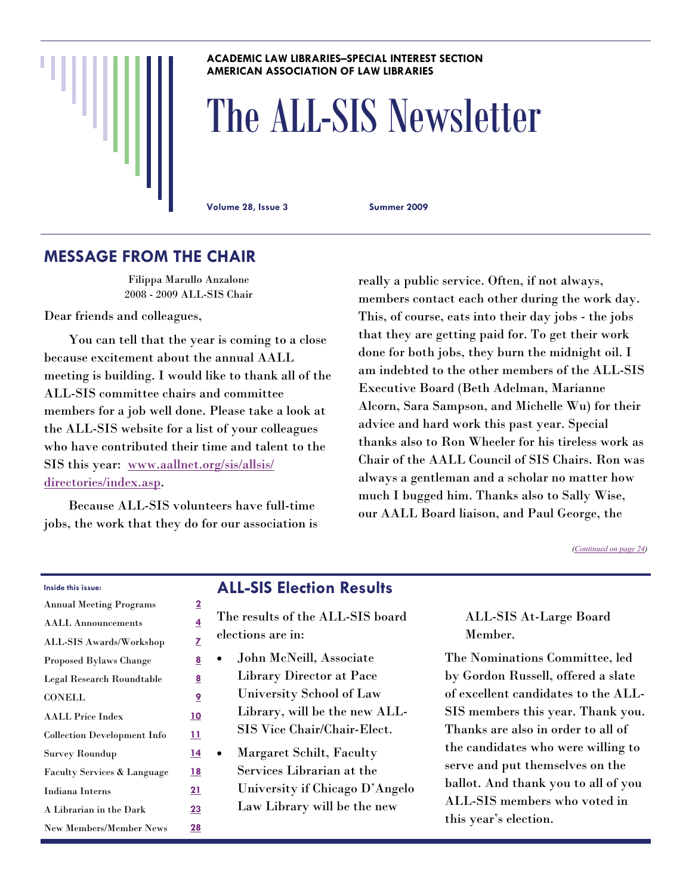#### **ACADEMIC LAW LIBRARIES–SPECIAL INTEREST SECTION AMERICAN ASSOCIATION OF LAW LIBRARIES**

# The ALL-SIS Newsletter

**Volume 28, Issue 3 Summer 2009** 

### **MESSAGE FROM THE CHAIR**

Filippa Marullo Anzalone 2008 - 2009 ALL-SIS Chair

Dear friends and colleagues,

 You can tell that the year is coming to a close because excitement about the annual AALL meeting is building. I would like to thank all of the ALL-SIS committee chairs and committee members for a job well done. Please take a look at the ALL-SIS website for a list of your colleagues who have contributed their time and talent to the SIS this year: [www.aallnet.org/sis/allsis/](http://www.aallnet.org/sis/allsis/directories/index.asp) [directories/index.asp](http://www.aallnet.org/sis/allsis/directories/index.asp).

 Because ALL-SIS volunteers have full-time jobs, the work that they do for our association is really a public service. Often, if not always, members contact each other during the work day. This, of course, eats into their day jobs - the jobs that they are getting paid for. To get their work done for both jobs, they burn the midnight oil. I am indebted to the other members of the ALL-SIS Executive Board (Beth Adelman, Marianne Alcorn, Sara Sampson, and Michelle Wu) for their advice and hard work this past year. Special thanks also to Ron Wheeler for his tireless work as Chair of the AALL Council of SIS Chairs. Ron was always a gentleman and a scholar no matter how much I bugged him. Thanks also to Sally Wise, our AALL Board liaison, and Paul George, the

*([Continued on page 24\)](#page-23-0)* 

#### **Inside this issue:**

| <b>Annual Meeting Programs</b>         | $\overline{2}$ |
|----------------------------------------|----------------|
| <b>AALL Announcements</b>              | 4              |
| ALL-SIS Awards/Workshop                | Z              |
| <b>Proposed Bylaws Change</b>          | <u>8</u>       |
| Legal Research Roundtable              | <u>8</u>       |
| <b>CONELL</b>                          | <u>9</u>       |
| <b>AALL Price Index</b>                | <u>10</u>      |
| <b>Collection Development Info</b>     | <u>11</u>      |
| <b>Survey Roundup</b>                  | <u>14</u>      |
| <b>Faculty Services &amp; Language</b> | <u>18</u>      |
| Indiana Interns                        | 21             |
| A Librarian in the Dark                | 23             |
| <b>New Members/Member News</b>         | <u> 28</u>     |

### **ALL-SIS Election Results**

The results of the ALL-SIS board elections are in:

- John McNeill, Associate Library Director at Pace University School of Law Library, will be the new ALL-
- SIS Vice Chair/Chair-Elect. • Margaret Schilt, Faculty Services Librarian at the
- University if Chicago D'Angelo
	- Law Library will be the new

ALL-SIS At-Large Board Member.

The Nominations Committee, led by Gordon Russell, offered a slate of excellent candidates to the ALL-SIS members this year. Thank you. Thanks are also in order to all of the candidates who were willing to serve and put themselves on the ballot. And thank you to all of you ALL-SIS members who voted in this year's election.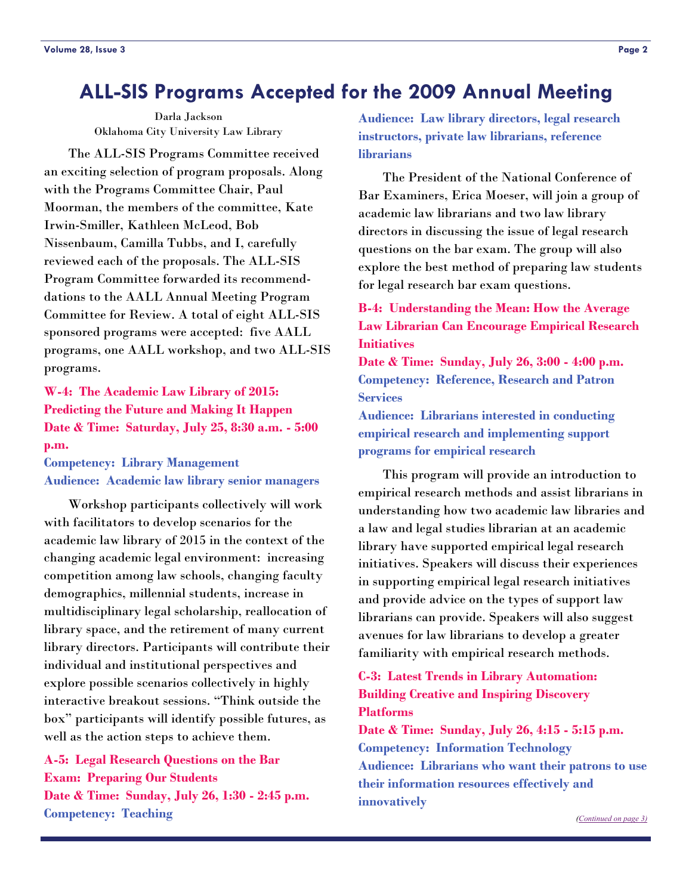### <span id="page-1-0"></span>**ALL-SIS Programs Accepted for the 2009 Annual Meeting**

Darla Jackson Oklahoma City University Law Library

 The ALL-SIS Programs Committee received an exciting selection of program proposals. Along with the Programs Committee Chair, Paul Moorman, the members of the committee, Kate Irwin-Smiller, Kathleen McLeod, Bob Nissenbaum, Camilla Tubbs, and I, carefully reviewed each of the proposals. The ALL-SIS Program Committee forwarded its recommenddations to the AALL Annual Meeting Program Committee for Review. A total of eight ALL-SIS sponsored programs were accepted: five AALL programs, one AALL workshop, and two ALL-SIS programs.

**W-4: The Academic Law Library of 2015: Predicting the Future and Making It Happen Date & Time: Saturday, July 25, 8:30 a.m. - 5:00 p.m.**

**Competency: Library Management Audience: Academic law library senior managers** 

 Workshop participants collectively will work with facilitators to develop scenarios for the academic law library of 2015 in the context of the changing academic legal environment: increasing competition among law schools, changing faculty demographics, millennial students, increase in multidisciplinary legal scholarship, reallocation of library space, and the retirement of many current library directors. Participants will contribute their individual and institutional perspectives and explore possible scenarios collectively in highly interactive breakout sessions. "Think outside the box" participants will identify possible futures, as well as the action steps to achieve them.

**A-5: Legal Research Questions on the Bar Exam: Preparing Our Students Date & Time: Sunday, July 26, 1:30 - 2:45 p.m. Competency: Teaching** 

**Audience: Law library directors, legal research instructors, private law librarians, reference librarians**

 The President of the National Conference of Bar Examiners, Erica Moeser, will join a group of academic law librarians and two law library directors in discussing the issue of legal research questions on the bar exam. The group will also explore the best method of preparing law students for legal research bar exam questions.

#### **B-4: Understanding the Mean: How the Average Law Librarian Can Encourage Empirical Research Initiatives**

**Date & Time: Sunday, July 26, 3:00 - 4:00 p.m. Competency: Reference, Research and Patron Services** 

**Audience: Librarians interested in conducting empirical research and implementing support programs for empirical research** 

 This program will provide an introduction to empirical research methods and assist librarians in understanding how two academic law libraries and a law and legal studies librarian at an academic library have supported empirical legal research initiatives. Speakers will discuss their experiences in supporting empirical legal research initiatives and provide advice on the types of support law librarians can provide. Speakers will also suggest avenues for law librarians to develop a greater familiarity with empirical research methods.

#### **C-3: Latest Trends in Library Automation: Building Creative and Inspiring Discovery Platforms**

**Date & Time: Sunday, July 26, 4:15 - 5:15 p.m. Competency: Information Technology Audience: Librarians who want their patrons to use their information resources effectively and innovatively**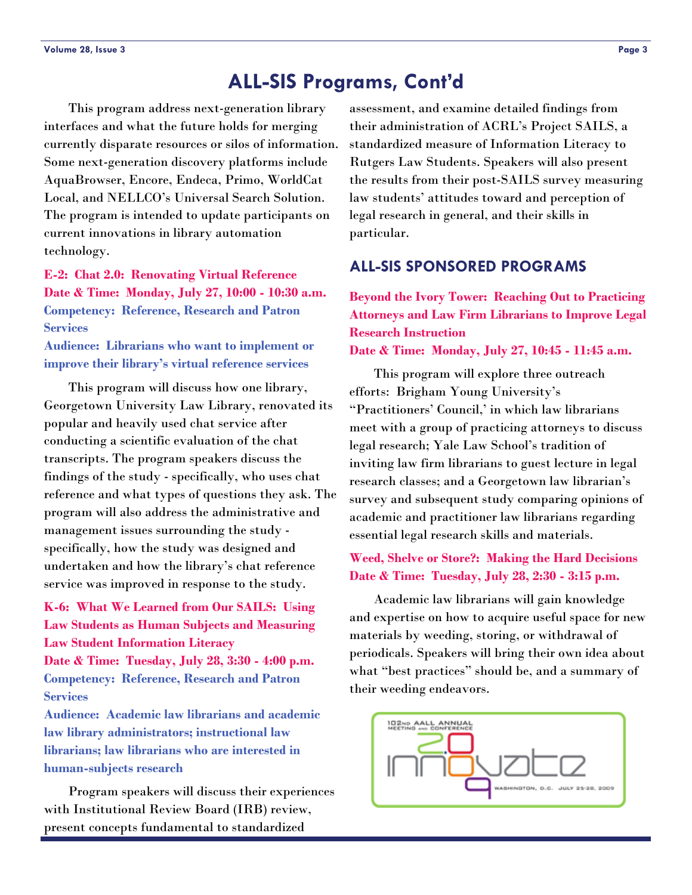### **ALL-SIS Programs, Cont'd**

<span id="page-2-0"></span> This program address next-generation library interfaces and what the future holds for merging currently disparate resources or silos of information. Some next-generation discovery platforms include AquaBrowser, Encore, Endeca, Primo, WorldCat Local, and NELLCO's Universal Search Solution. The program is intended to update participants on current innovations in library automation technology.

**E-2: Chat 2.0: Renovating Virtual Reference Date & Time: Monday, July 27, 10:00 - 10:30 a.m. Competency: Reference, Research and Patron Services** 

**Audience: Librarians who want to implement or improve their library's virtual reference services**

 This program will discuss how one library, Georgetown University Law Library, renovated its popular and heavily used chat service after conducting a scientific evaluation of the chat transcripts. The program speakers discuss the findings of the study - specifically, who uses chat reference and what types of questions they ask. The program will also address the administrative and management issues surrounding the study specifically, how the study was designed and undertaken and how the library's chat reference service was improved in response to the study.

**K-6: What We Learned from Our SAILS: Using Law Students as Human Subjects and Measuring Law Student Information Literacy Date & Time: Tuesday, July 28, 3:30 - 4:00 p.m. Competency: Reference, Research and Patron Services** 

**Audience: Academic law librarians and academic law library administrators; instructional law librarians; law librarians who are interested in human-subjects research** 

 Program speakers will discuss their experiences with Institutional Review Board (IRB) review, present concepts fundamental to standardized

assessment, and examine detailed findings from their administration of ACRL's Project SAILS, a standardized measure of Information Literacy to Rutgers Law Students. Speakers will also present the results from their post-SAILS survey measuring law students' attitudes toward and perception of legal research in general, and their skills in particular.

#### **ALL-SIS SPONSORED PROGRAMS**

**Beyond the Ivory Tower: Reaching Out to Practicing Attorneys and Law Firm Librarians to Improve Legal Research Instruction**

**Date & Time: Monday, July 27, 10:45 - 11:45 a.m.**

 This program will explore three outreach efforts: Brigham Young University's "Practitioners' Council,' in which law librarians meet with a group of practicing attorneys to discuss legal research; Yale Law School's tradition of inviting law firm librarians to guest lecture in legal research classes; and a Georgetown law librarian's survey and subsequent study comparing opinions of academic and practitioner law librarians regarding essential legal research skills and materials.

### **Weed, Shelve or Store?: Making the Hard Decisions Date & Time: Tuesday, July 28, 2:30 - 3:15 p.m.**

 Academic law librarians will gain knowledge and expertise on how to acquire useful space for new materials by weeding, storing, or withdrawal of periodicals. Speakers will bring their own idea about what "best practices" should be, and a summary of their weeding endeavors.

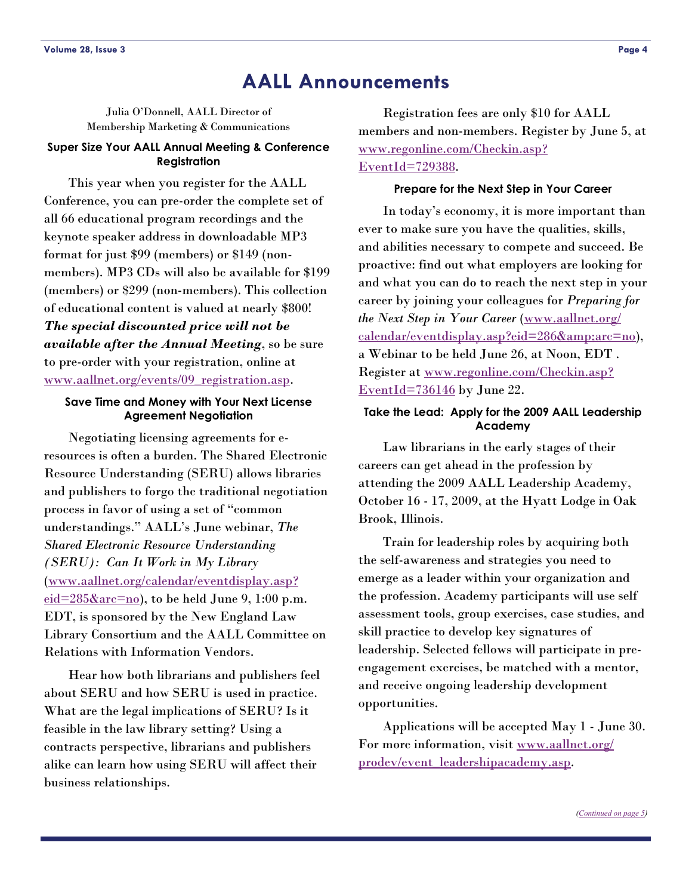### **AALL Announcements**

<span id="page-3-0"></span>Julia O'Donnell, AALL Director of Membership Marketing & Communications

#### **Super Size Your AALL Annual Meeting & Conference Registration**

 This year when you register for the AALL Conference, you can pre-order the complete set of all 66 educational program recordings and the keynote speaker address in downloadable MP3 format for just \$99 (members) or \$149 (nonmembers). MP3 CDs will also be available for \$199 (members) or \$299 (non-members). This collection of educational content is valued at nearly \$800! *The special discounted price will not be available after the Annual Meeting*, so be sure to pre-order with your registration, online at [www.aallnet.org/events/09\\_registration.asp](http://www.aallnet.org/events/09_registration.asp).

#### **Save Time and Money with Your Next License Agreement Negotiation**

 Negotiating licensing agreements for eresources is often a burden. The Shared Electronic Resource Understanding (SERU) allows libraries and publishers to forgo the traditional negotiation process in favor of using a set of "common understandings." AALL's June webinar, *The Shared Electronic Resource Understanding (SERU): Can It Work in My Library* ([www.aallnet.org/calendar/eventdisplay.asp?](http://www.aallnet.org/calendar/eventdisplay.asp?eid=285&arc=no)  $\frac{\text{eid}=285\&\text{arc}=no}{\text{to}}$ , to be held June 9, 1:00 p.m. EDT, is sponsored by the New England Law Library Consortium and the AALL Committee on Relations with Information Vendors.

 Hear how both librarians and publishers feel about SERU and how SERU is used in practice. What are the legal implications of SERU? Is it feasible in the law library setting? Using a contracts perspective, librarians and publishers alike can learn how using SERU will affect their business relationships.

 Registration fees are only \$10 for AALL members and non-members. Register by June 5, at [www.regonline.com/Checkin.asp?](http://www.regonline.com/Checkin.asp?EventId=729388) [EventId=729388](http://www.regonline.com/Checkin.asp?EventId=729388).

#### **Prepare for the Next Step in Your Career**

 In today's economy, it is more important than ever to make sure you have the qualities, skills, and abilities necessary to compete and succeed. Be proactive: find out what employers are looking for and what you can do to reach the next step in your career by joining your colleagues for *Preparing for the Next Step in Your Career* ([www.aallnet.org/](http://www.aallnet.org/calendar/eventdisplay.asp?eid=286&arc=no)  $calar/event display, asp?eid=286&arc=no),$ a Webinar to be held June 26, at Noon, EDT . Register at [www.regonline.com/Checkin.asp?](http://www.regonline.com/Checkin.asp?EventId=736146)  $EventId = 736146$  by June 22.

#### **Take the Lead: Apply for the 2009 AALL Leadership Academy**

 Law librarians in the early stages of their careers can get ahead in the profession by attending the 2009 AALL Leadership Academy, October 16 - 17, 2009, at the Hyatt Lodge in Oak Brook, Illinois.

 Train for leadership roles by acquiring both the self-awareness and strategies you need to emerge as a leader within your organization and the profession. Academy participants will use self assessment tools, group exercises, case studies, and skill practice to develop key signatures of leadership. Selected fellows will participate in preengagement exercises, be matched with a mentor, and receive ongoing leadership development opportunities.

 Applications will be accepted May 1 - June 30. For more information, visit [www.aallnet.org/](http://www.aallnet.org/prodev/event_leadershipacademy.asp) [prodev/event\\_leadershipacademy.asp](http://www.aallnet.org/prodev/event_leadershipacademy.asp).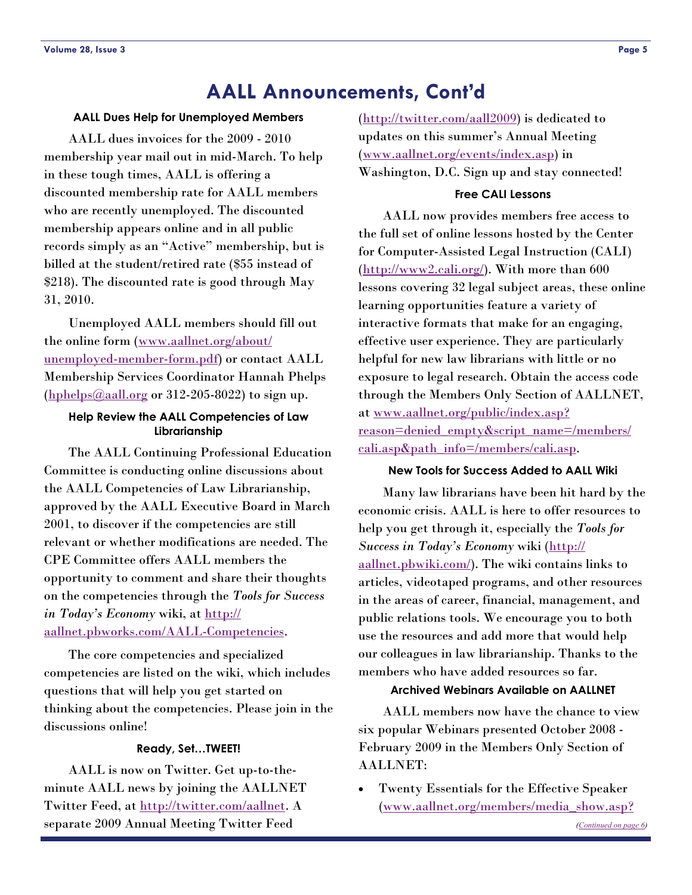### **AALL Announcements, Cont'd**

#### <span id="page-4-0"></span>**[AALL Due](http://www.aallnet.org/members/media_show.asp?mnum=68)s Help for Unemployed Members**

 AALL dues invoices for the 2009 - 2010 membership year mail out in mid-March. To help in these tough times, AALL is offering a discounted membership rate for AALL members who are recently unemployed. The discounted membership appears online and in all public records simply as an "Active" membership, but is billed at the student/retired rate (\$55 instead of \$218). The discounted rate is good through May 31, 2010.

 Unemployed AALL members should fill out the online form ([www.aallnet.org/about/](http://www.aallnet.org/about/unemployed-member-form.pdf) [unemployed-member-form.pdf\)](http://www.aallnet.org/about/unemployed-member-form.pdf) or contact AALL Membership Services Coordinator Hannah Phelps  $(hphelps@aall.org$  $(hphelps@aall.org$  or 312-205-8022) to sign up.

#### **Help Review the AALL Competencies of Law Librarianship**

 The AALL Continuing Professional Education Committee is conducting online discussions about the AALL Competencies of Law Librarianship, approved by the AALL Executive Board in March 2001, to discover if the competencies are still relevant or whether modifications are needed. The CPE Committee offers AALL members the opportunity to comment and share their thoughts on the competencies through the *Tools for Success in Today's Economy* wiki, at [http://](http://aallnet.pbworks.com/AALL-Competencies) [aallnet.pbworks.com/AALL-Competencies](http://aallnet.pbworks.com/AALL-Competencies).

 The core competencies and specialized competencies are listed on the wiki, which includes questions that will help you get started on thinking about the competencies. Please join in the discussions online!

#### **Ready, Set…TWEET!**

 AALL is now on Twitter. Get up-to-theminute AALL news by joining the AALLNET Twitter Feed, at <http://twitter.com/aallnet>. A separate 2009 Annual Meeting Twitter Feed

(<http://twitter.com/aall2009>) is dedicated to updates on this summer's Annual Meeting ([www.aallnet.org/events/index.asp](http://www.aallnet.org/events/index.asp)) in Washington, D.C. Sign up and stay connected!

#### **Free CALI Lessons**

 AALL now provides members free access to the full set of online lessons hosted by the Center for Computer-Assisted Legal Instruction (CALI) (<http://www2.cali.org/>). With more than 600 lessons covering 32 legal subject areas, these online learning opportunities feature a variety of interactive formats that make for an engaging, effective user experience. They are particularly helpful for new law librarians with little or no exposure to legal research. Obtain the access code through the Members Only Section of AALLNET, at [www.aallnet.org/public/index.asp?](http://www.aallnet.org/public/index.asp?reason=denied_empty&script_name=/members/cali.asp&path_info=/members/cali.asp) [reason=denied\\_empty&script\\_name=/members/](http://www.aallnet.org/public/index.asp?reason=denied_empty&script_name=/members/cali.asp&path_info=/members/cali.asp) [cali.asp&path\\_info=/members/cali.asp](http://www.aallnet.org/public/index.asp?reason=denied_empty&script_name=/members/cali.asp&path_info=/members/cali.asp).

#### **New Tools for Success Added to AALL Wiki**

 Many law librarians have been hit hard by the economic crisis. AALL is here to offer resources to help you get through it, especially the *Tools for Success in Today's Economy* wiki ([http://](http://aallnet.pbwiki.com/) [aallnet.pbwiki.com/](http://aallnet.pbwiki.com/)). The wiki contains links to articles, videotaped programs, and other resources in the areas of career, financial, management, and public relations tools. We encourage you to both use the resources and add more that would help our colleagues in law librarianship. Thanks to the members who have added resources so far.

#### **Archived Webinars Available on AALLNET**

 AALL members now have the chance to view six popular Webinars presented October 2008 - February 2009 in the Members Only Section of AALLNET:

• Twenty Essentials for the Effective Speaker ([www.aallnet.org/members/media\\_show.asp?](http://www.aallnet.org/members/media_show.asp?mnum=68)

*[\(Continued on page 6\)](#page-5-0)*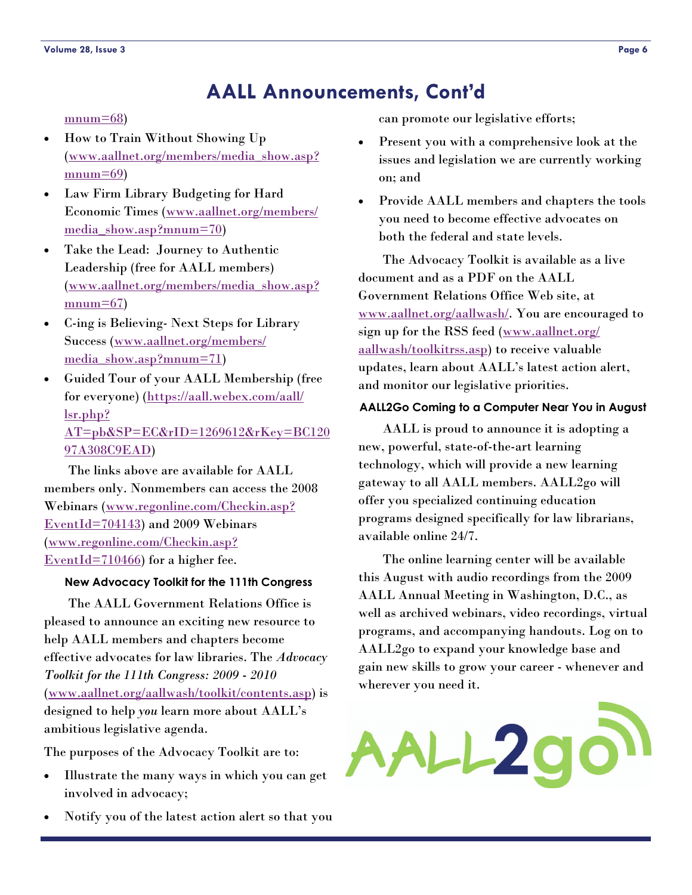## **AALL Announcements, Cont'd**

#### <span id="page-5-0"></span> $mnum=68$

- How to Train Without Showing Up ([www.aallnet.org/members/media\\_show.asp?](http://www.aallnet.org/members/media_show.asp?mnum=69)  $mnum=69$
- Law Firm Library Budgeting for Hard Economic Times ([www.aallnet.org/members/](http://www.aallnet.org/members/media_show.asp?mnum=70) [media\\_show.asp?mnum=70](http://www.aallnet.org/members/media_show.asp?mnum=70))
- Take the Lead: Journey to Authentic Leadership (free for AALL members) ([www.aallnet.org/members/media\\_show.asp?](http://www.aallnet.org/members/media_show.asp?mnum=67)  $mnum=67$
- C-ing is Believing- Next Steps for Library Success ([www.aallnet.org/members/](http://www.aallnet.org/members/media_show.asp?mnum=71) [media\\_show.asp?mnum=71](http://www.aallnet.org/members/media_show.asp?mnum=71))
- Guided Tour of your AALL Membership (free for everyone) ([https://aall.webex.com/aall/](https://aall.webex.com/aall/lsr.php?AT=pb&SP=EC&rID=1269612&rKey=BC12097A308C9EAD) [lsr.php?](https://aall.webex.com/aall/lsr.php?AT=pb&SP=EC&rID=1269612&rKey=BC12097A308C9EAD) [AT=pb&SP=EC&rID=1269612&rKey=BC120](https://aall.webex.com/aall/lsr.php?AT=pb&SP=EC&rID=1269612&rKey=BC12097A308C9EAD) [97A308C9EAD](https://aall.webex.com/aall/lsr.php?AT=pb&SP=EC&rID=1269612&rKey=BC12097A308C9EAD))

 The links above are available for AALL members only. Nonmembers can access the 2008 Webinars [\(www.regonline.com/Checkin.asp?](http://www.regonline.com/Checkin.asp?EventId=704143) [EventId=704143](http://www.regonline.com/Checkin.asp?EventId=704143)) and 2009 Webinars ([www.regonline.com/Checkin.asp?](http://www.regonline.com/Checkin.asp?EventId=710466) [EventId=710466](http://www.regonline.com/Checkin.asp?EventId=710466)) for a higher fee.

#### **New Advocacy Toolkit for the 111th Congress**

 The AALL Government Relations Office is pleased to announce an exciting new resource to help AALL members and chapters become effective advocates for law libraries. The *Advocacy Toolkit for the 111th Congress: 2009 - 2010* ([www.aallnet.org/aallwash/toolkit/contents.asp](http://www.aallnet.org/aallwash/toolkit/contents.asp)) is designed to help *you* learn more about AALL's ambitious legislative agenda.

The purposes of the Advocacy Toolkit are to:

- Illustrate the many ways in which you can get involved in advocacy;
- Notify you of the latest action alert so that you

can promote our legislative efforts;

- Present you with a comprehensive look at the issues and legislation we are currently working on; and
- Provide AALL members and chapters the tools you need to become effective advocates on both the federal and state levels.

 The Advocacy Toolkit is available as a live document and as a PDF on the AALL Government Relations Office Web site, at [www.aallnet.org/aallwash/](http://www.aallnet.org/aallwash/). You are encouraged to sign up for the RSS feed ([www.aallnet.org/](http://www.aallnet.org/aallwash/toolkitrss.asp) [aallwash/toolkitrss.asp](http://www.aallnet.org/aallwash/toolkitrss.asp)) to receive valuable updates, learn about AALL's latest action alert, and monitor our legislative priorities.

#### **AALL2Go Coming to a Computer Near You in August**

 AALL is proud to announce it is adopting a new, powerful, state-of-the-art learning technology, which will provide a new learning gateway to all AALL members. AALL2go will offer you specialized continuing education programs designed specifically for law librarians, available online 24/7.

 The online learning center will be available this August with audio recordings from the 2009 AALL Annual Meeting in Washington, D.C., as well as archived webinars, video recordings, virtual programs, and accompanying handouts. Log on to AALL2go to expand your knowledge base and gain new skills to grow your career - whenever and wherever you need it.

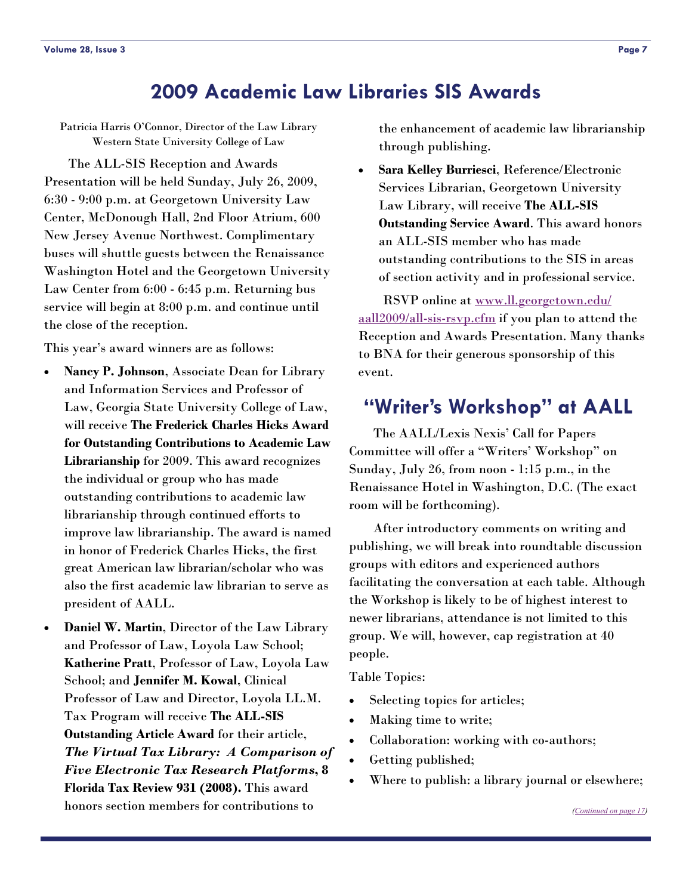### **2009 Academic Law Libraries SIS Awards**

<span id="page-6-0"></span>Patricia Harris O'Connor, Director of the Law Library Western State University College of Law

 The ALL-SIS Reception and Awards Presentation will be held Sunday, July 26, 2009, 6:30 - 9:00 p.m. at Georgetown University Law Center, McDonough Hall, 2nd Floor Atrium, 600 New Jersey Avenue Northwest. Complimentary buses will shuttle guests between the Renaissance Washington Hotel and the Georgetown University Law Center from 6:00 - 6:45 p.m. Returning bus service will begin at 8:00 p.m. and continue until the close of the reception.

This year's award winners are as follows:

- **Nancy P. Johnson**, Associate Dean for Library and Information Services and Professor of Law, Georgia State University College of Law, will receive **The Frederick Charles Hicks Award for Outstanding Contributions to Academic Law Librarianship** for 2009. This award recognizes the individual or group who has made outstanding contributions to academic law librarianship through continued efforts to improve law librarianship. The award is named in honor of Frederick Charles Hicks, the first great American law librarian/scholar who was also the first academic law librarian to serve as president of AALL.
- **Daniel W. Martin**, Director of the Law Library and Professor of Law, Loyola Law School; **Katherine Pratt**, Professor of Law, Loyola Law School; and **Jennifer M. Kowal**, Clinical Professor of Law and Director, Loyola LL.M. Tax Program will receive **The ALL-SIS Outstanding Article Award** for their article, *The Virtual Tax Library: A Comparison of Five Electronic Tax Research Platforms***, 8 Florida Tax Review 931 (2008).** This award honors section members for contributions to

the enhancement of academic law librarianship through publishing.

• **Sara Kelley Burriesci**, Reference/Electronic Services Librarian, Georgetown University Law Library, will receive **The ALL-SIS Outstanding Service Award**. This award honors an ALL-SIS member who has made outstanding contributions to the SIS in areas of section activity and in professional service.

 RSVP online at [www.ll.georgetown.edu/](http://www.ll.georgetown.edu/aall2009/all-sis-rsvp.cfm) [aall2009/all-sis-rsvp.cfm](http://www.ll.georgetown.edu/aall2009/all-sis-rsvp.cfm) if you plan to attend the Reception and Awards Presentation. Many thanks to BNA for their generous sponsorship of this event.

### **"Writer's Workshop" at AALL**

 The AALL/Lexis Nexis' Call for Papers Committee will offer a "Writers' Workshop" on Sunday, July 26, from noon - 1:15 p.m., in the Renaissance Hotel in Washington, D.C. (The exact room will be forthcoming).

 After introductory comments on writing and publishing, we will break into roundtable discussion groups with editors and experienced authors facilitating the conversation at each table. Although the Workshop is likely to be of highest interest to newer librarians, attendance is not limited to this group. We will, however, cap registration at 40 people.

Table Topics:

- Selecting topics for articles;
- Making time to write;
- Collaboration: working with co-authors;
- Getting published;
- Where to publish: a library journal or elsewhere;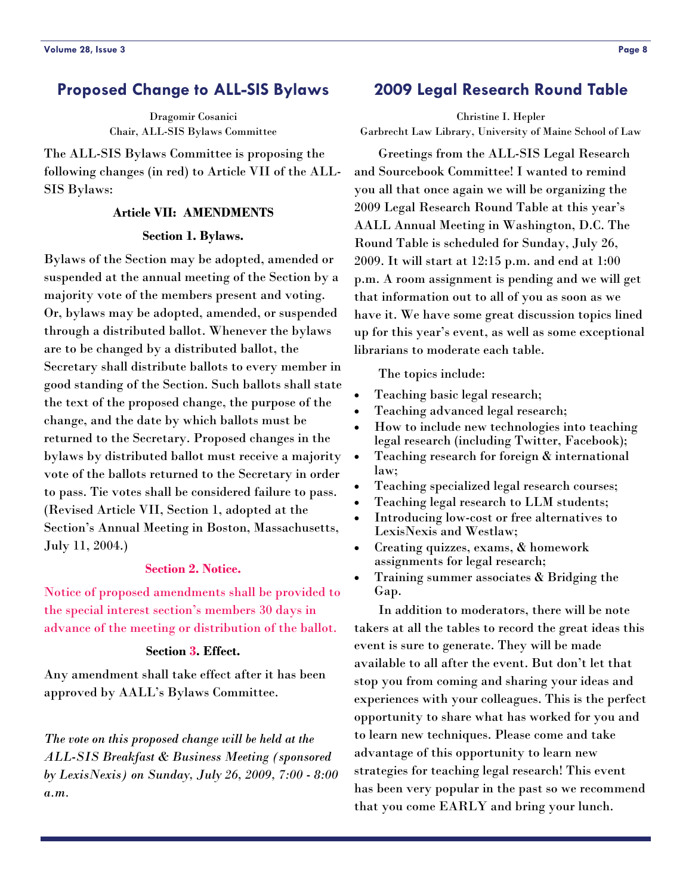### <span id="page-7-0"></span>**Proposed Change to ALL-SIS Bylaws**

Dragomir Cosanici Chair, ALL-SIS Bylaws Committee

The ALL-SIS Bylaws Committee is proposing the following changes (in red) to Article VII of the ALL-SIS Bylaws:

#### **Article VII: AMENDMENTS**

#### **Section 1. Bylaws.**

Bylaws of the Section may be adopted, amended or suspended at the annual meeting of the Section by a majority vote of the members present and voting. Or, bylaws may be adopted, amended, or suspended through a distributed ballot. Whenever the bylaws are to be changed by a distributed ballot, the Secretary shall distribute ballots to every member in good standing of the Section. Such ballots shall state the text of the proposed change, the purpose of the change, and the date by which ballots must be returned to the Secretary. Proposed changes in the bylaws by distributed ballot must receive a majority vote of the ballots returned to the Secretary in order to pass. Tie votes shall be considered failure to pass. (Revised Article VII, Section 1, adopted at the Section's Annual Meeting in Boston, Massachusetts, July 11, 2004.)

#### **Section 2. Notice.**

Notice of proposed amendments shall be provided to the special interest section's members 30 days in advance of the meeting or distribution of the ballot.

#### **Section 3. Effect.**

Any amendment shall take effect after it has been approved by AALL's Bylaws Committee.

*The vote on this proposed change will be held at the ALL-SIS Breakfast & Business Meeting (sponsored by LexisNexis) on Sunday, July 26, 2009, 7:00 - 8:00 a.m.* 

### **2009 Legal Research Round Table**

Christine I. Hepler Garbrecht Law Library, University of Maine School of Law

 Greetings from the ALL-SIS Legal Research and Sourcebook Committee! I wanted to remind you all that once again we will be organizing the 2009 Legal Research Round Table at this year's AALL Annual Meeting in Washington, D.C. The Round Table is scheduled for Sunday, July 26, 2009. It will start at 12:15 p.m. and end at 1:00 p.m. A room assignment is pending and we will get that information out to all of you as soon as we have it. We have some great discussion topics lined up for this year's event, as well as some exceptional librarians to moderate each table.

The topics include:

- Teaching basic legal research;
- Teaching advanced legal research;
- How to include new technologies into teaching legal research (including Twitter, Facebook);
- Teaching research for foreign  $\&$  international law;
- Teaching specialized legal research courses;
- Teaching legal research to LLM students;
- Introducing low-cost or free alternatives to LexisNexis and Westlaw;
- Creating quizzes, exams, & homework assignments for legal research;
- Training summer associates & Bridging the Gap.

 In addition to moderators, there will be note takers at all the tables to record the great ideas this event is sure to generate. They will be made available to all after the event. But don't let that stop you from coming and sharing your ideas and experiences with your colleagues. This is the perfect opportunity to share what has worked for you and to learn new techniques. Please come and take advantage of this opportunity to learn new strategies for teaching legal research! This event has been very popular in the past so we recommend that you come EARLY and bring your lunch.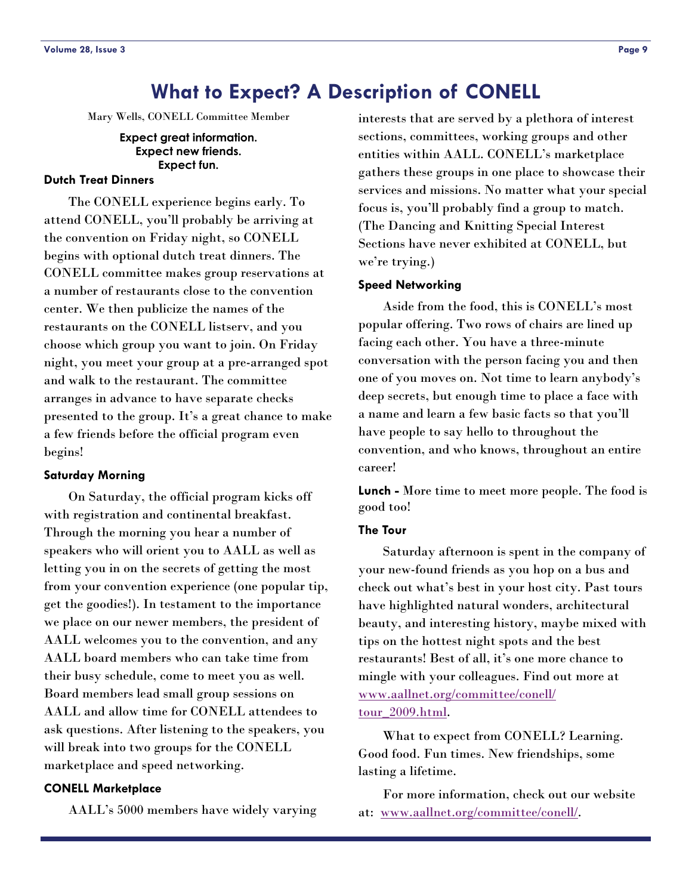### **What to Expect? A Description of CONELL**

<span id="page-8-0"></span>Mary Wells, CONELL Committee Member

#### **Expect great information. Expect new friends. Expect fun.**

#### **Dutch Treat Dinners**

 The CONELL experience begins early. To attend CONELL, you'll probably be arriving at the convention on Friday night, so CONELL begins with optional dutch treat dinners. The CONELL committee makes group reservations at a number of restaurants close to the convention center. We then publicize the names of the restaurants on the CONELL listserv, and you choose which group you want to join. On Friday night, you meet your group at a pre-arranged spot and walk to the restaurant. The committee arranges in advance to have separate checks presented to the group. It's a great chance to make a few friends before the official program even begins!

#### **Saturday Morning**

 On Saturday, the official program kicks off with registration and continental breakfast. Through the morning you hear a number of speakers who will orient you to AALL as well as letting you in on the secrets of getting the most from your convention experience (one popular tip, get the goodies!). In testament to the importance we place on our newer members, the president of AALL welcomes you to the convention, and any AALL board members who can take time from their busy schedule, come to meet you as well. Board members lead small group sessions on AALL and allow time for CONELL attendees to ask questions. After listening to the speakers, you will break into two groups for the CONELL marketplace and speed networking.

#### **CONELL Marketplace**

AALL's 5000 members have widely varying

interests that are served by a plethora of interest sections, committees, working groups and other entities within AALL. CONELL's marketplace gathers these groups in one place to showcase their services and missions. No matter what your special focus is, you'll probably find a group to match. (The Dancing and Knitting Special Interest Sections have never exhibited at CONELL, but we're trying.)

#### **Speed Networking**

 Aside from the food, this is CONELL's most popular offering. Two rows of chairs are lined up facing each other. You have a three-minute conversation with the person facing you and then one of you moves on. Not time to learn anybody's deep secrets, but enough time to place a face with a name and learn a few basic facts so that you'll have people to say hello to throughout the convention, and who knows, throughout an entire career!

**Lunch -** More time to meet more people. The food is good too!

#### **The Tour**

 Saturday afternoon is spent in the company of your new-found friends as you hop on a bus and check out what's best in your host city. Past tours have highlighted natural wonders, architectural beauty, and interesting history, maybe mixed with tips on the hottest night spots and the best restaurants! Best of all, it's one more chance to mingle with your colleagues. Find out more at [www.aallnet.org/committee/conell/](http://www.aallnet.org/committee/conell/tour_2009.html) [tour\\_2009.html](http://www.aallnet.org/committee/conell/tour_2009.html).

 What to expect from CONELL? Learning. Good food. Fun times. New friendships, some lasting a lifetime.

 For more information, check out our website at: [www.aallnet.org/committee/conell/](http://www.aallnet.org/committee/conell/).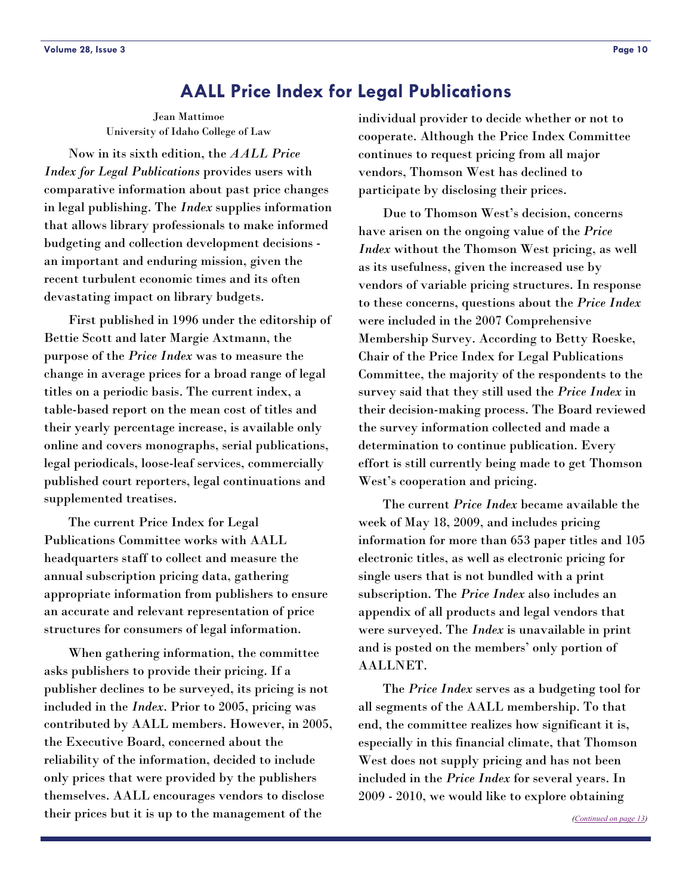### **AALL Price Index for Legal Publications**

<span id="page-9-0"></span>Jean Mattimoe University of Idaho College of Law

 Now in its sixth edition, the *AALL Price Index for Legal Publications* provides users with comparative information about past price changes in legal publishing. The *Index* supplies information that allows library professionals to make informed budgeting and collection development decisions an important and enduring mission, given the recent turbulent economic times and its often devastating impact on library budgets.

 First published in 1996 under the editorship of Bettie Scott and later Margie Axtmann, the purpose of the *Price Index* was to measure the change in average prices for a broad range of legal titles on a periodic basis. The current index, a table-based report on the mean cost of titles and their yearly percentage increase, is available only online and covers monographs, serial publications, legal periodicals, loose-leaf services, commercially published court reporters, legal continuations and supplemented treatises.

 The current Price Index for Legal Publications Committee works with AALL headquarters staff to collect and measure the annual subscription pricing data, gathering appropriate information from publishers to ensure an accurate and relevant representation of price structures for consumers of legal information.

 When gathering information, the committee asks publishers to provide their pricing. If a publisher declines to be surveyed, its pricing is not included in the *Index*. Prior to 2005, pricing was contributed by AALL members. However, in 2005, the Executive Board, concerned about the reliability of the information, decided to include only prices that were provided by the publishers themselves. AALL encourages vendors to disclose their prices but it is up to the management of the

individual provider to decide whether or not to cooperate. Although the Price Index Committee continues to request pricing from all major vendors, Thomson West has declined to participate by disclosing their prices.

 Due to Thomson West's decision, concerns have arisen on the ongoing value of the *Price Index* without the Thomson West pricing, as well as its usefulness, given the increased use by vendors of variable pricing structures. In response to these concerns, questions about the *Price Index* were included in the 2007 Comprehensive Membership Survey. According to Betty Roeske, Chair of the Price Index for Legal Publications Committee, the majority of the respondents to the survey said that they still used the *Price Index* in their decision-making process. The Board reviewed the survey information collected and made a determination to continue publication. Every effort is still currently being made to get Thomson West's cooperation and pricing.

 The current *Price Index* became available the week of May 18, 2009, and includes pricing information for more than 653 paper titles and 105 electronic titles, as well as electronic pricing for single users that is not bundled with a print subscription. The *Price Index* also includes an appendix of all products and legal vendors that were surveyed. The *Index* is unavailable in print and is posted on the members' only portion of AALLNET.

 The *Price Index* serves as a budgeting tool for all segments of the AALL membership. To that end, the committee realizes how significant it is, especially in this financial climate, that Thomson West does not supply pricing and has not been included in the *Price Index* for several years. In 2009 - 2010, we would like to explore obtaining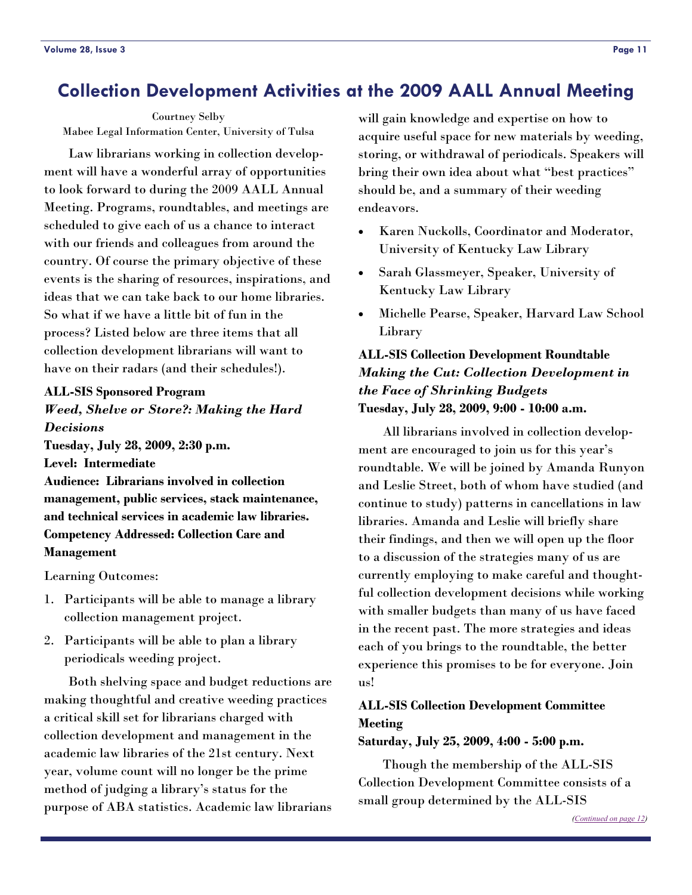### <span id="page-10-0"></span>**Collection Development Activities at the 2009 AALL Annual Meeting**

Courtney Selby Mabee Legal Information Center, University of Tulsa

 Law librarians working in collection development will have a wonderful array of opportunities to look forward to during the 2009 AALL Annual Meeting. Programs, roundtables, and meetings are scheduled to give each of us a chance to interact with our friends and colleagues from around the country. Of course the primary objective of these events is the sharing of resources, inspirations, and ideas that we can take back to our home libraries. So what if we have a little bit of fun in the process? Listed below are three items that all collection development librarians will want to have on their radars (and their schedules!).

### **ALL-SIS Sponsored Program**  *Weed, Shelve or Store?: Making the Hard Decisions*

**Tuesday, July 28, 2009, 2:30 p.m. Level: Intermediate Audience: Librarians involved in collection management, public services, stack maintenance, and technical services in academic law libraries. Competency Addressed: Collection Care and Management** 

### Learning Outcomes:

- 1. Participants will be able to manage a library collection management project.
- 2. Participants will be able to plan a library periodicals weeding project.

 Both shelving space and budget reductions are making thoughtful and creative weeding practices a critical skill set for librarians charged with collection development and management in the academic law libraries of the 21st century. Next year, volume count will no longer be the prime method of judging a library's status for the purpose of ABA statistics. Academic law librarians

will gain knowledge and expertise on how to acquire useful space for new materials by weeding, storing, or withdrawal of periodicals. Speakers will bring their own idea about what "best practices" should be, and a summary of their weeding endeavors.

- Karen Nuckolls, Coordinator and Moderator, University of Kentucky Law Library
- Sarah Glassmeyer, Speaker, University of Kentucky Law Library
- Michelle Pearse, Speaker, Harvard Law School Library

### **ALL-SIS Collection Development Roundtable**  *Making the Cut: Collection Development in the Face of Shrinking Budgets* **Tuesday, July 28, 2009, 9:00 - 10:00 a.m.**

 All librarians involved in collection development are encouraged to join us for this year's roundtable. We will be joined by Amanda Runyon and Leslie Street, both of whom have studied (and continue to study) patterns in cancellations in law libraries. Amanda and Leslie will briefly share their findings, and then we will open up the floor to a discussion of the strategies many of us are currently employing to make careful and thoughtful collection development decisions while working with smaller budgets than many of us have faced in the recent past. The more strategies and ideas each of you brings to the roundtable, the better experience this promises to be for everyone. Join us!

#### **ALL-SIS Collection Development Committee Meeting**

**Saturday, July 25, 2009, 4:00 - 5:00 p.m.** 

 Though the membership of the ALL-SIS Collection Development Committee consists of a small group determined by the ALL-SIS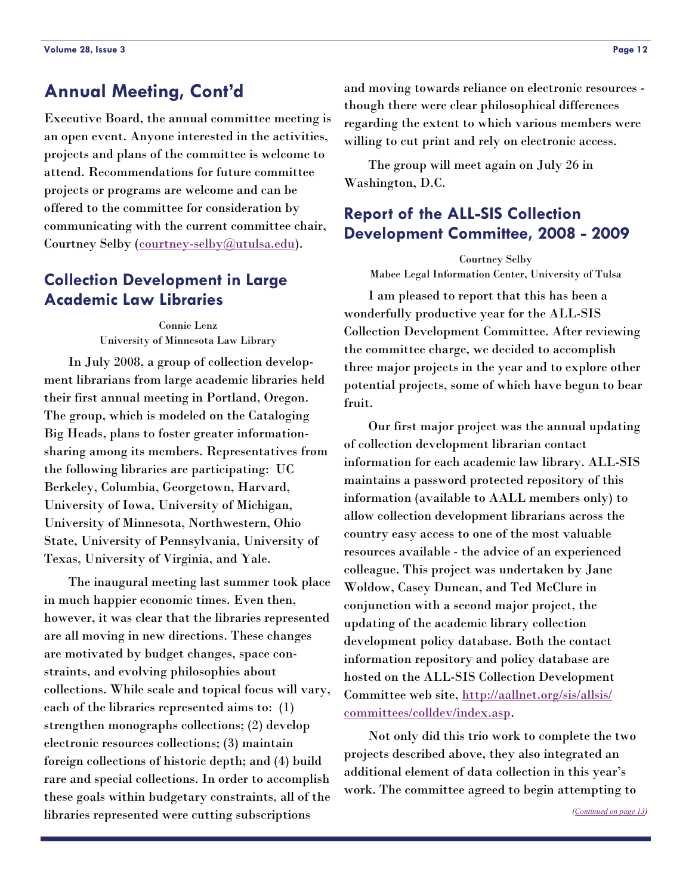Executive Board, the annual committee meeting is an open event. Anyone interested in the activities, projects and plans of the committee is welcome to attend. Recommendations for future committee projects or programs are welcome and can be offered to the committee for consideration by communicating with the current committee chair, Courtney Selby ([courtney-selby@utulsa.edu](mailto:courtney-selby@utulsa.edu)).

### **Collection Development in Large Academic Law Libraries**

Connie Lenz University of Minnesota Law Library

 In July 2008, a group of collection development librarians from large academic libraries held their first annual meeting in Portland, Oregon. The group, which is modeled on the Cataloging Big Heads, plans to foster greater informationsharing among its members. Representatives from the following libraries are participating: UC Berkeley, Columbia, Georgetown, Harvard, University of Iowa, University of Michigan, University of Minnesota, Northwestern, Ohio State, University of Pennsylvania, University of Texas, University of Virginia, and Yale.

 The inaugural meeting last summer took place in much happier economic times. Even then, however, it was clear that the libraries represented are all moving in new directions. These changes are motivated by budget changes, space constraints, and evolving philosophies about collections. While scale and topical focus will vary, each of the libraries represented aims to: (1) strengthen monographs collections; (2) develop electronic resources collections; (3) maintain foreign collections of historic depth; and (4) build rare and special collections. In order to accomplish these goals within budgetary constraints, all of the libraries represented were cutting subscriptions

<span id="page-11-0"></span>Annual Meeting, Cont'd and moving towards reliance on electronic resources though there were clear philosophical differences regarding the extent to which various members were willing to cut print and rely on electronic access.

> The group will meet again on July 26 in Washington, D.C.

### **Report of the ALL-SIS Collection Development Committee, 2008 - 2009**

Courtney Selby

Mabee Legal Information Center, University of Tulsa

 I am pleased to report that this has been a wonderfully productive year for the ALL-SIS Collection Development Committee. After reviewing the committee charge, we decided to accomplish three major projects in the year and to explore other potential projects, some of which have begun to bear fruit.

 Our first major project was the annual updating of collection development librarian contact information for each academic law library. ALL-SIS maintains a password protected repository of this information (available to AALL members only) to allow collection development librarians across the country easy access to one of the most valuable resources available - the advice of an experienced colleague. This project was undertaken by Jane Woldow, Casey Duncan, and Ted McClure in conjunction with a second major project, the updating of the academic library collection development policy database. Both the contact information repository and policy database are hosted on the ALL-SIS Collection Development Committee web site, [http://aallnet.org/sis/allsis/](http://aallnet.org/sis/allsis/committees/colldev/index.asp) [committees/colldev/index.asp](http://aallnet.org/sis/allsis/committees/colldev/index.asp).

 Not only did this trio work to complete the two projects described above, they also integrated an additional element of data collection in this year's work. The committee agreed to begin attempting to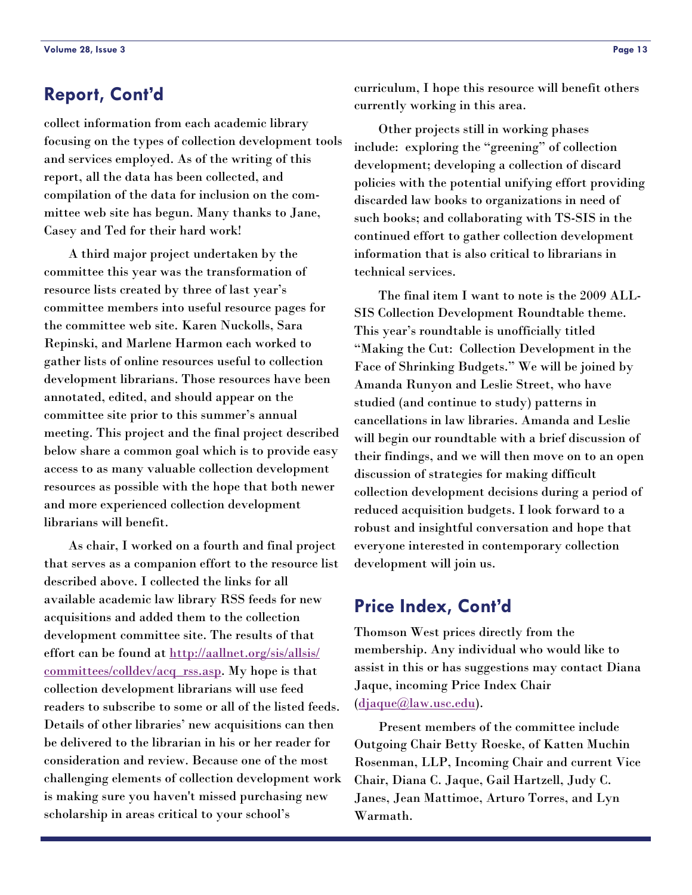### <span id="page-12-0"></span>**Report, Cont'd**

collect information from each academic library focusing on the types of collection development tools and services employed. As of the writing of this report, all the data has been collected, and compilation of the data for inclusion on the committee web site has begun. Many thanks to Jane, Casey and Ted for their hard work!

 A third major project undertaken by the committee this year was the transformation of resource lists created by three of last year's committee members into useful resource pages for the committee web site. Karen Nuckolls, Sara Repinski, and Marlene Harmon each worked to gather lists of online resources useful to collection development librarians. Those resources have been annotated, edited, and should appear on the committee site prior to this summer's annual meeting. This project and the final project described below share a common goal which is to provide easy access to as many valuable collection development resources as possible with the hope that both newer and more experienced collection development librarians will benefit.

 As chair, I worked on a fourth and final project that serves as a companion effort to the resource list described above. I collected the links for all available academic law library RSS feeds for new acquisitions and added them to the collection development committee site. The results of that effort can be found at [http://aallnet.org/sis/allsis/](http://aallnet.org/sis/allsis/committees/colldev/acq_rss.asp) [committees/colldev/acq\\_rss.asp](http://aallnet.org/sis/allsis/committees/colldev/acq_rss.asp). My hope is that collection development librarians will use feed readers to subscribe to some or all of the listed feeds. Details of other libraries' new acquisitions can then be delivered to the librarian in his or her reader for consideration and review. Because one of the most challenging elements of collection development work is making sure you haven't missed purchasing new scholarship in areas critical to your school's

curriculum, I hope this resource will benefit others currently working in this area.

 Other projects still in working phases include: exploring the "greening" of collection development; developing a collection of discard policies with the potential unifying effort providing discarded law books to organizations in need of such books; and collaborating with TS-SIS in the continued effort to gather collection development information that is also critical to librarians in technical services.

 The final item I want to note is the 2009 ALL-SIS Collection Development Roundtable theme. This year's roundtable is unofficially titled "Making the Cut: Collection Development in the Face of Shrinking Budgets." We will be joined by Amanda Runyon and Leslie Street, who have studied (and continue to study) patterns in cancellations in law libraries. Amanda and Leslie will begin our roundtable with a brief discussion of their findings, and we will then move on to an open discussion of strategies for making difficult collection development decisions during a period of reduced acquisition budgets. I look forward to a robust and insightful conversation and hope that everyone interested in contemporary collection development will join us.

### **Price Index, Cont'd**

Thomson West prices directly from the membership. Any individual who would like to assist in this or has suggestions may contact Diana Jaque, incoming Price Index Chair ([djaque@law.usc.edu](mailto:djaque@law.usc.edu)).

 Present members of the committee include Outgoing Chair Betty Roeske, of Katten Muchin Rosenman, LLP, Incoming Chair and current Vice Chair, Diana C. Jaque, Gail Hartzell, Judy C. Janes, Jean Mattimoe, Arturo Torres, and Lyn Warmath.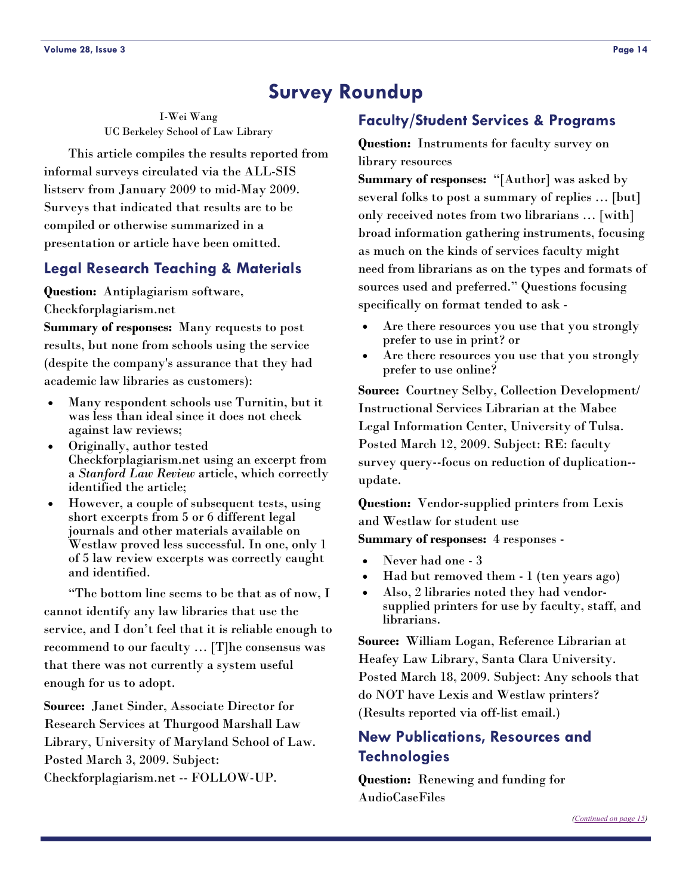### **Survey Roundup**

<span id="page-13-0"></span>I-Wei Wang UC Berkeley School of Law Library

 This article compiles the results reported from informal surveys circulated via the ALL-SIS listserv from January 2009 to mid-May 2009. Surveys that indicated that results are to be compiled or otherwise summarized in a presentation or article have been omitted.

### **Legal Research Teaching & Materials**

**Question:** Antiplagiarism software,

Checkforplagiarism.net

**Summary of responses:** Many requests to post results, but none from schools using the service (despite the company's assurance that they had academic law libraries as customers):

- Many respondent schools use Turnitin, but it was less than ideal since it does not check against law reviews;
- Originally, author tested Checkforplagiarism.net using an excerpt from a *Stanford Law Review* article, which correctly identified the article;
- However, a couple of subsequent tests, using short excerpts from 5 or 6 different legal journals and other materials available on Westlaw proved less successful. In one, only 1 of 5 law review excerpts was correctly caught and identified.

 "The bottom line seems to be that as of now, I cannot identify any law libraries that use the service, and I don't feel that it is reliable enough to recommend to our faculty … [T]he consensus was that there was not currently a system useful enough for us to adopt.

**Source:** Janet Sinder, Associate Director for Research Services at Thurgood Marshall Law Library, University of Maryland School of Law. Posted March 3, 2009. Subject: Checkforplagiarism.net -- FOLLOW-UP.

### **Faculty/Student Services & Programs**

**Question:** Instruments for faculty survey on library resources

**Summary of responses:** "[Author] was asked by several folks to post a summary of replies … [but] only received notes from two librarians … [with] broad information gathering instruments, focusing as much on the kinds of services faculty might need from librarians as on the types and formats of sources used and preferred." Questions focusing specifically on format tended to ask -

- Are there resources you use that you strongly prefer to use in print? or
- Are there resources you use that you strongly prefer to use online?

**Source:** Courtney Selby, Collection Development/ Instructional Services Librarian at the Mabee Legal Information Center, University of Tulsa. Posted March 12, 2009. Subject: RE: faculty survey query--focus on reduction of duplication- update.

**Question:** Vendor-supplied printers from Lexis and Westlaw for student use **Summary of responses:** 4 responses -

- Never had one 3
- Had but removed them 1 (ten years ago)
- Also, 2 libraries noted they had vendorsupplied printers for use by faculty, staff, and librarians.

**Source:** William Logan, Reference Librarian at Heafey Law Library, Santa Clara University. Posted March 18, 2009. Subject: Any schools that do NOT have Lexis and Westlaw printers? (Results reported via off-list email.)

### **New Publications, Resources and Technologies**

**Question:** Renewing and funding for AudioCaseFiles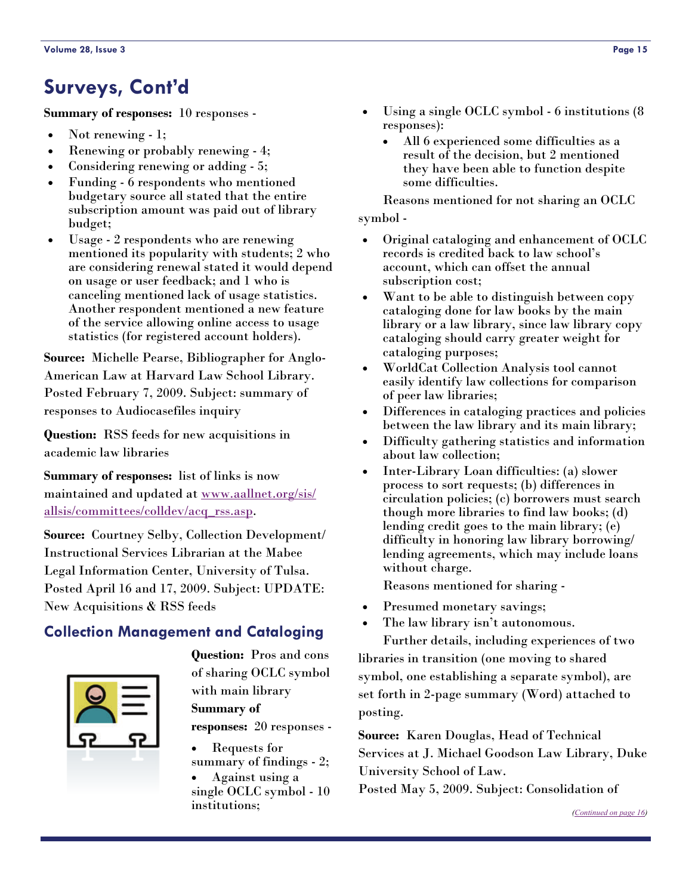# <span id="page-14-0"></span>**Surveys, Cont'd**

**Summary of responses:** 10 responses -

- Not renewing 1;
- Renewing or probably renewing 4;
- Considering renewing or adding 5;
- Funding 6 respondents who mentioned budgetary source all stated that the entire subscription amount was paid out of library budget;
- Usage 2 respondents who are renewing mentioned its popularity with students; 2 who are considering renewal stated it would depend on usage or user feedback; and 1 who is canceling mentioned lack of usage statistics. Another respondent mentioned a new feature of the service allowing online access to usage statistics (for registered account holders).

**Source:** Michelle Pearse, Bibliographer for Anglo-American Law at Harvard Law School Library. Posted February 7, 2009. Subject: summary of responses to Audiocasefiles inquiry

**Question:** RSS feeds for new acquisitions in academic law libraries

**Summary of responses:** list of links is now maintained and updated at [www.aallnet.org/sis/](http://www.aallnet.org/sis/allsis/committees/colldev/acq_rss.asp) [allsis/committees/colldev/acq\\_rss.asp](http://www.aallnet.org/sis/allsis/committees/colldev/acq_rss.asp).

**Source:** Courtney Selby, Collection Development/ Instructional Services Librarian at the Mabee Legal Information Center, University of Tulsa. Posted April 16 and 17, 2009. Subject: UPDATE: New Acquisitions & RSS feeds

### **Collection Management and Cataloging**



**Question:** Pros and cons of sharing OCLC symbol with main library **Summary of responses:** 20 responses - • Requests for

summary of findings - 2; • Against using a single OCLC symbol - 10 institutions;

- Using a single OCLC symbol 6 institutions (8 responses):
	- All 6 experienced some difficulties as a result of the decision, but 2 mentioned they have been able to function despite some difficulties.

 Reasons mentioned for not sharing an OCLC symbol -

- Original cataloging and enhancement of OCLC records is credited back to law school's account, which can offset the annual subscription cost;
- Want to be able to distinguish between copy cataloging done for law books by the main library or a law library, since law library copy cataloging should carry greater weight for cataloging purposes;
- WorldCat Collection Analysis tool cannot easily identify law collections for comparison of peer law libraries;
- Differences in cataloging practices and policies between the law library and its main library;
- Difficulty gathering statistics and information about law collection;
- Inter-Library Loan difficulties: (a) slower process to sort requests; (b) differences in circulation policies; (c) borrowers must search though more libraries to find law books; (d) lending credit goes to the main library; (e) difficulty in honoring law library borrowing/ lending agreements, which may include loans without charge.

Reasons mentioned for sharing -

- Presumed monetary savings;
- The law library isn't autonomous. Further details, including experiences of two

libraries in transition (one moving to shared symbol, one establishing a separate symbol), are set forth in 2-page summary (Word) attached to posting.

**Source:** Karen Douglas, Head of Technical Services at J. Michael Goodson Law Library, Duke University School of Law.

Posted May 5, 2009. Subject: Consolidation of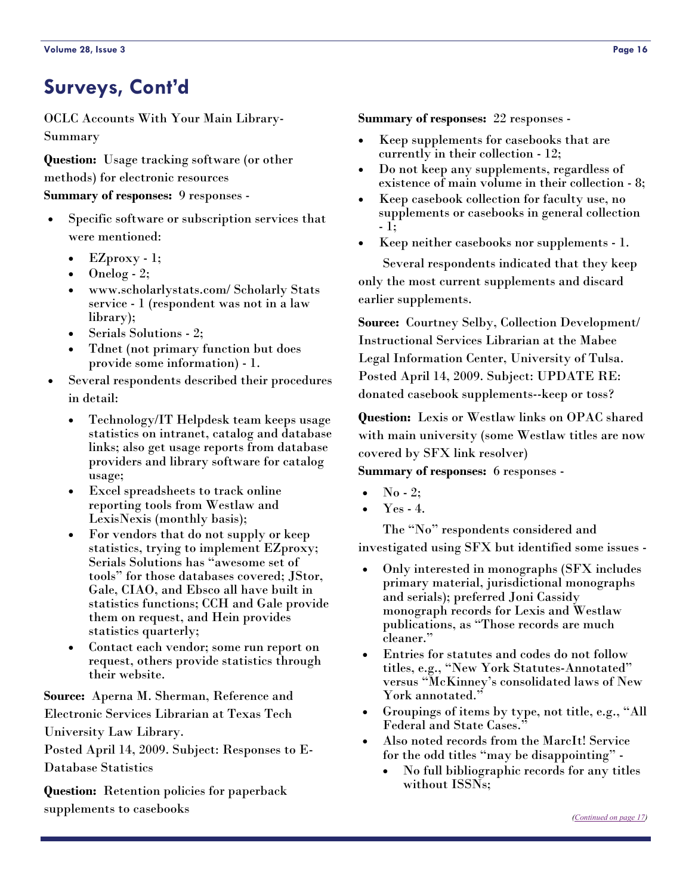### <span id="page-15-0"></span>**Surveys, Cont'd**

OCLC Accounts With Your Main Library-Summary

**Question:** Usage tracking software (or other methods) for electronic resources

#### **Summary of responses:** 9 responses -

- Specific software or subscription services that were mentioned:
	- $\bullet$  EZproxy 1;
	- Onelog 2;
	- www.scholarlystats.com/ Scholarly Stats service - 1 (respondent was not in a law library);
	- Serials Solutions 2;
	- Tdnet (not primary function but does provide some information) - 1.
- Several respondents described their procedures in detail:
	- Technology/IT Helpdesk team keeps usage statistics on intranet, catalog and database links; also get usage reports from database providers and library software for catalog usage;
	- Excel spreadsheets to track online reporting tools from Westlaw and LexisNexis (monthly basis);
	- For vendors that do not supply or keep statistics, trying to implement EZproxy; Serials Solutions has "awesome set of tools" for those databases covered; JStor, Gale, CIAO, and Ebsco all have built in statistics functions; CCH and Gale provide them on request, and Hein provides statistics quarterly;
	- Contact each vendor; some run report on request, others provide statistics through their website.

**Source:** Aperna M. Sherman, Reference and Electronic Services Librarian at Texas Tech University Law Library.

Posted April 14, 2009. Subject: Responses to E-Database Statistics

**Question:** Retention policies for paperback supplements to casebooks

#### **Summary of responses:** 22 responses -

- Keep supplements for casebooks that are currently in their collection - 12;
- Do not keep any supplements, regardless of existence of main volume in their collection - 8;
- Keep casebook collection for faculty use, no supplements or casebooks in general collection - 1;
- Keep neither casebooks nor supplements 1.

 Several respondents indicated that they keep only the most current supplements and discard earlier supplements.

**Source:** Courtney Selby, Collection Development/ Instructional Services Librarian at the Mabee Legal Information Center, University of Tulsa. Posted April 14, 2009. Subject: UPDATE RE: donated casebook supplements--keep or toss?

**Question:** Lexis or Westlaw links on OPAC shared with main university (some Westlaw titles are now covered by SFX link resolver)

#### **Summary of responses:** 6 responses -

- $\mathbf{No}$  2:
- Yes  $-4$ .

 The "No" respondents considered and investigated using SFX but identified some issues -

- Only interested in monographs (SFX includes primary material, jurisdictional monographs and serials); preferred Joni Cassidy monograph records for Lexis and Westlaw publications, as "Those records are much cleaner."
- Entries for statutes and codes do not follow titles, e.g., "New York Statutes-Annotated" versus "McKinney's consolidated laws of New York annotated."
- Groupings of items by type, not title, e.g., "All Federal and State Cases."
- Also noted records from the MarcIt! Service for the odd titles "may be disappointing" -
	- No full bibliographic records for any titles without ISSNs;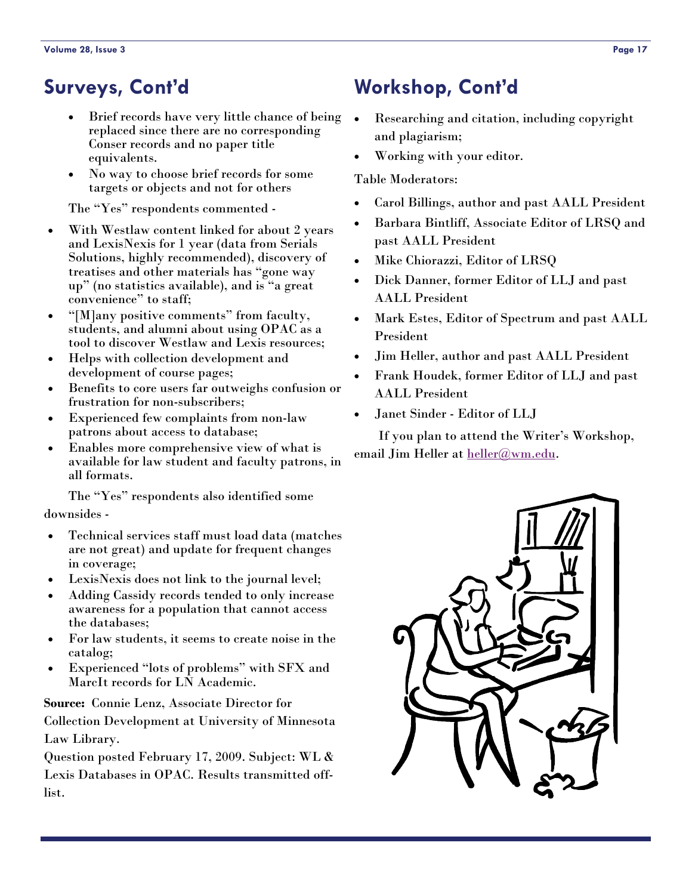- Brief records have very little chance of being replaced since there are no corresponding Conser records and no paper title equivalents.
- No way to choose brief records for some targets or objects and not for others

The "Yes" respondents commented -

- With Westlaw content linked for about 2 years and LexisNexis for 1 year (data from Serials Solutions, highly recommended), discovery of treatises and other materials has "gone way up" (no statistics available), and is "a great convenience" to staff;
- "[M]any positive comments" from faculty, students, and alumni about using OPAC as a tool to discover Westlaw and Lexis resources;
- Helps with collection development and development of course pages;
- Benefits to core users far outweighs confusion or frustration for non-subscribers;
- Experienced few complaints from non-law patrons about access to database;
- Enables more comprehensive view of what is available for law student and faculty patrons, in all formats.

 The "Yes" respondents also identified some downsides -

- Technical services staff must load data (matches are not great) and update for frequent changes in coverage;
- LexisNexis does not link to the journal level;
- Adding Cassidy records tended to only increase awareness for a population that cannot access the databases;
- For law students, it seems to create noise in the catalog;
- Experienced "lots of problems" with SFX and MarcIt records for LN Academic.

**Source:** Connie Lenz, Associate Director for Collection Development at University of Minnesota Law Library.

Question posted February 17, 2009. Subject: WL & Lexis Databases in OPAC. Results transmitted offlist.

# <span id="page-16-0"></span>**Surveys, Cont'd Workshop, Cont'd**

- Researching and citation, including copyright and plagiarism;
- Working with your editor.

Table Moderators:

- Carol Billings, author and past AALL President
- Barbara Bintliff, Associate Editor of LRSQ and past AALL President
- Mike Chiorazzi, Editor of LRSQ
- Dick Danner, former Editor of LLJ and past AALL President
- Mark Estes, Editor of Spectrum and past AALL President
- Jim Heller, author and past AALL President
- Frank Houdek, former Editor of LLJ and past AALL President
- Janet Sinder Editor of LLJ

 If you plan to attend the Writer's Workshop, email Jim Heller at [heller@wm.edu](mailto:heller@wm.edu).

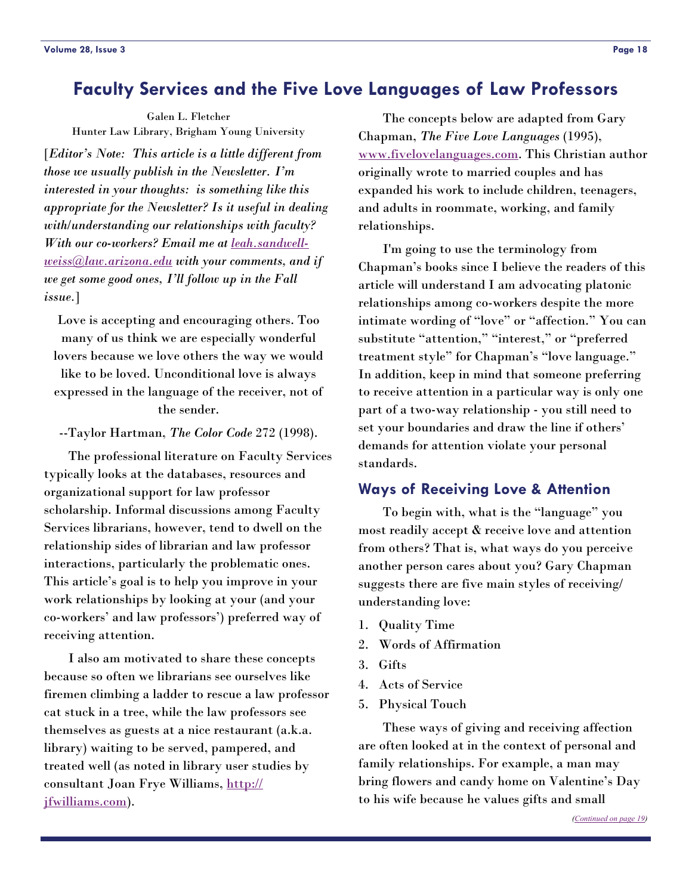<span id="page-17-0"></span>Galen L. Fletcher Hunter Law Library, Brigham Young University

[*Editor's Note: This article is a little different from those we usually publish in the Newsletter. I'm interested in your thoughts: is something like this appropriate for the Newsletter? Is it useful in dealing with/understanding our relationships with faculty? With our co-workers? Email me at <u>leah.sandwell-</u> [weiss@law.arizona.edu](mailto:leah.sandwell-weiss@law.arizona.edu) with your comments, and if we get some good ones, I'll follow up in the Fall issue.*]

Love is accepting and encouraging others. Too many of us think we are especially wonderful lovers because we love others the way we would like to be loved. Unconditional love is always expressed in the language of the receiver, not of the sender.

--Taylor Hartman, *The Color Code* 272 (1998).

 The professional literature on Faculty Services typically looks at the databases, resources and organizational support for law professor scholarship. Informal discussions among Faculty Services librarians, however, tend to dwell on the relationship sides of librarian and law professor interactions, particularly the problematic ones. This article's goal is to help you improve in your work relationships by looking at your (and your co-workers' and law professors') preferred way of receiving attention.

 I also am motivated to share these concepts because so often we librarians see ourselves like firemen climbing a ladder to rescue a law professor cat stuck in a tree, while the law professors see themselves as guests at a nice restaurant (a.k.a. library) waiting to be served, pampered, and treated well (as noted in library user studies by consultant Joan Frye Williams, [http://](http://jfwilliams.com) [jfwilliams.com](http://jfwilliams.com)).

 The concepts below are adapted from Gary Chapman, *The Five Love Languages* (1995), [www.fivelovelanguages.com](http://www.fivelovelanguages.com). This Christian author originally wrote to married couples and has expanded his work to include children, teenagers, and adults in roommate, working, and family relationships.

 I'm going to use the terminology from Chapman's books since I believe the readers of this article will understand I am advocating platonic relationships among co-workers despite the more intimate wording of "love" or "affection." You can substitute "attention," "interest," or "preferred treatment style" for Chapman's "love language." In addition, keep in mind that someone preferring to receive attention in a particular way is only one part of a two-way relationship - you still need to set your boundaries and draw the line if others' demands for attention violate your personal standards.

### **Ways of Receiving Love & Attention**

 To begin with, what is the "language" you most readily accept & receive love and attention from others? That is, what ways do you perceive another person cares about you? Gary Chapman suggests there are five main styles of receiving/ understanding love:

- 1. Quality Time
- 2. Words of Affirmation
- 3. Gifts
- 4. Acts of Service
- 5. Physical Touch

 These ways of giving and receiving affection are often looked at in the context of personal and family relationships. For example, a man may bring flowers and candy home on Valentine's Day to his wife because he values gifts and small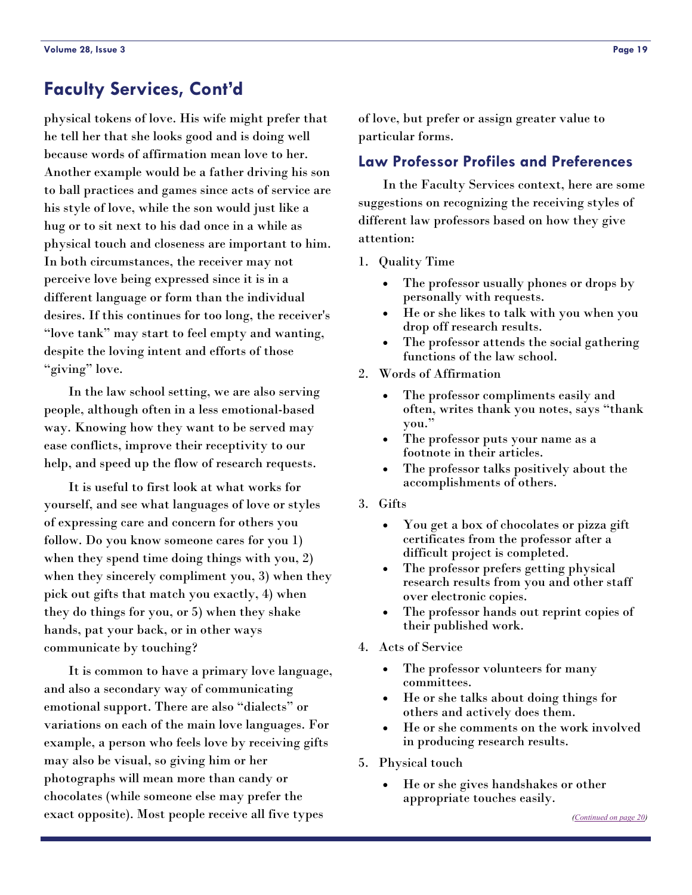### <span id="page-18-0"></span>**Faculty Services, Cont'd**

physical tokens of love. His wife might prefer that he tell her that she looks good and is doing well because words of affirmation mean love to her. Another example would be a father driving his son to ball practices and games since acts of service are his style of love, while the son would just like a hug or to sit next to his dad once in a while as physical touch and closeness are important to him. In both circumstances, the receiver may not perceive love being expressed since it is in a different language or form than the individual desires. If this continues for too long, the receiver's "love tank" may start to feel empty and wanting, despite the loving intent and efforts of those "giving" love.

 In the law school setting, we are also serving people, although often in a less emotional-based way. Knowing how they want to be served may ease conflicts, improve their receptivity to our help, and speed up the flow of research requests.

 It is useful to first look at what works for yourself, and see what languages of love or styles of expressing care and concern for others you follow. Do you know someone cares for you 1) when they spend time doing things with you, 2) when they sincerely compliment you, 3) when they pick out gifts that match you exactly, 4) when they do things for you, or 5) when they shake hands, pat your back, or in other ways communicate by touching?

 It is common to have a primary love language, and also a secondary way of communicating emotional support. There are also "dialects" or variations on each of the main love languages. For example, a person who feels love by receiving gifts may also be visual, so giving him or her photographs will mean more than candy or chocolates (while someone else may prefer the exact opposite). Most people receive all five types

of love, but prefer or assign greater value to particular forms.

### **Law Professor Profiles and Preferences**

 In the Faculty Services context, here are some suggestions on recognizing the receiving styles of different law professors based on how they give attention:

- 1. Quality Time
	- The professor usually phones or drops by personally with requests.
	- He or she likes to talk with you when you drop off research results.
	- The professor attends the social gathering functions of the law school.
- 2. Words of Affirmation
	- The professor compliments easily and often, writes thank you notes, says "thank you."
	- The professor puts your name as a footnote in their articles.
	- The professor talks positively about the accomplishments of others.
- 3. Gifts
	- You get a box of chocolates or pizza gift certificates from the professor after a difficult project is completed.
	- The professor prefers getting physical research results from you and other staff over electronic copies.
	- The professor hands out reprint copies of their published work.
- 4. Acts of Service
	- The professor volunteers for many committees.
	- He or she talks about doing things for others and actively does them.
	- He or she comments on the work involved in producing research results.
- 5. Physical touch
	- He or she gives handshakes or other appropriate touches easily.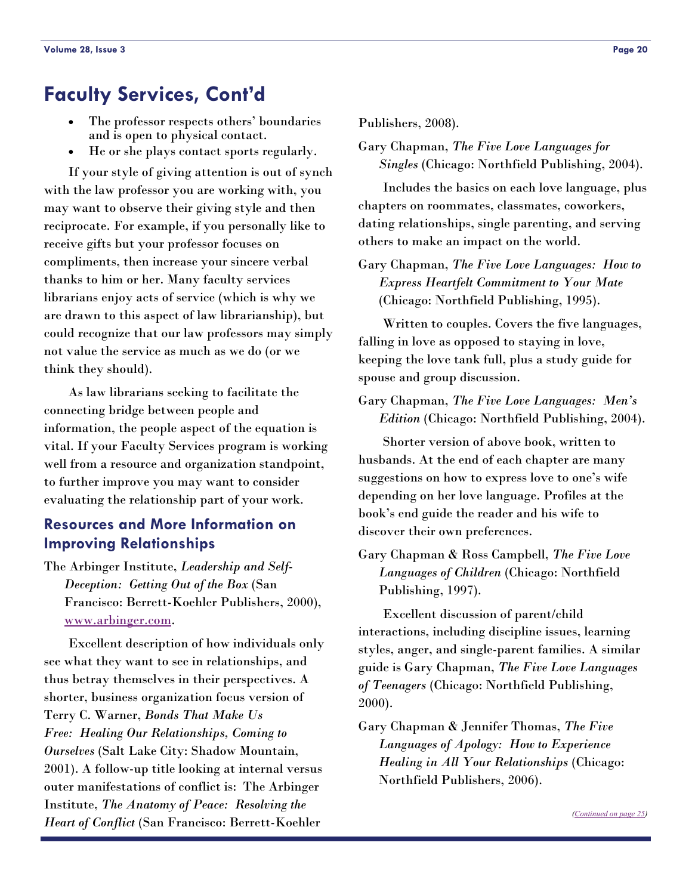### <span id="page-19-0"></span>**Faculty Services, Cont'd**

- The professor respects others' boundaries and is open to physical contact.
- He or she plays contact sports regularly.

 If your style of giving attention is out of synch with the law professor you are working with, you may want to observe their giving style and then reciprocate. For example, if you personally like to receive gifts but your professor focuses on compliments, then increase your sincere verbal thanks to him or her. Many faculty services librarians enjoy acts of service (which is why we are drawn to this aspect of law librarianship), but could recognize that our law professors may simply not value the service as much as we do (or we think they should).

 As law librarians seeking to facilitate the connecting bridge between people and information, the people aspect of the equation is vital. If your Faculty Services program is working well from a resource and organization standpoint, to further improve you may want to consider evaluating the relationship part of your work.

### **Resources and More Information on Improving Relationships**

The Arbinger Institute, *Leadership and Self-Deception: Getting Out of the Box* (San Francisco: Berrett-Koehler Publishers, 2000), [www.arbinger.com](http://www.arbinger.com).

 Excellent description of how individuals only see what they want to see in relationships, and thus betray themselves in their perspectives. A shorter, business organization focus version of Terry C. Warner, *Bonds That Make Us Free: Healing Our Relationships, Coming to Ourselves* (Salt Lake City: Shadow Mountain, 2001). A follow-up title looking at internal versus outer manifestations of conflict is: The Arbinger Institute, *The Anatomy of Peace: Resolving the Heart of Conflict* (San Francisco: Berrett-Koehler

Publishers, 2008).

Gary Chapman, *The Five Love Languages for Singles* (Chicago: Northfield Publishing, 2004).

 Includes the basics on each love language, plus chapters on roommates, classmates, coworkers, dating relationships, single parenting, and serving others to make an impact on the world.

Gary Chapman, *The Five Love Languages: How to Express Heartfelt Commitment to Your Mate* (Chicago: Northfield Publishing, 1995).

 Written to couples. Covers the five languages, falling in love as opposed to staying in love, keeping the love tank full, plus a study guide for spouse and group discussion.

Gary Chapman, *The Five Love Languages: Men's Edition* (Chicago: Northfield Publishing, 2004).

 Shorter version of above book, written to husbands. At the end of each chapter are many suggestions on how to express love to one's wife depending on her love language. Profiles at the book's end guide the reader and his wife to discover their own preferences.

Gary Chapman & Ross Campbell, *The Five Love Languages of Children* (Chicago: Northfield Publishing, 1997).

 Excellent discussion of parent/child interactions, including discipline issues, learning styles, anger, and single-parent families. A similar guide is Gary Chapman, *The Five Love Languages of Teenagers* (Chicago: Northfield Publishing, 2000).

Gary Chapman & Jennifer Thomas, *The Five Languages of Apology: How to Experience Healing in All Your Relationships* (Chicago: Northfield Publishers, 2006).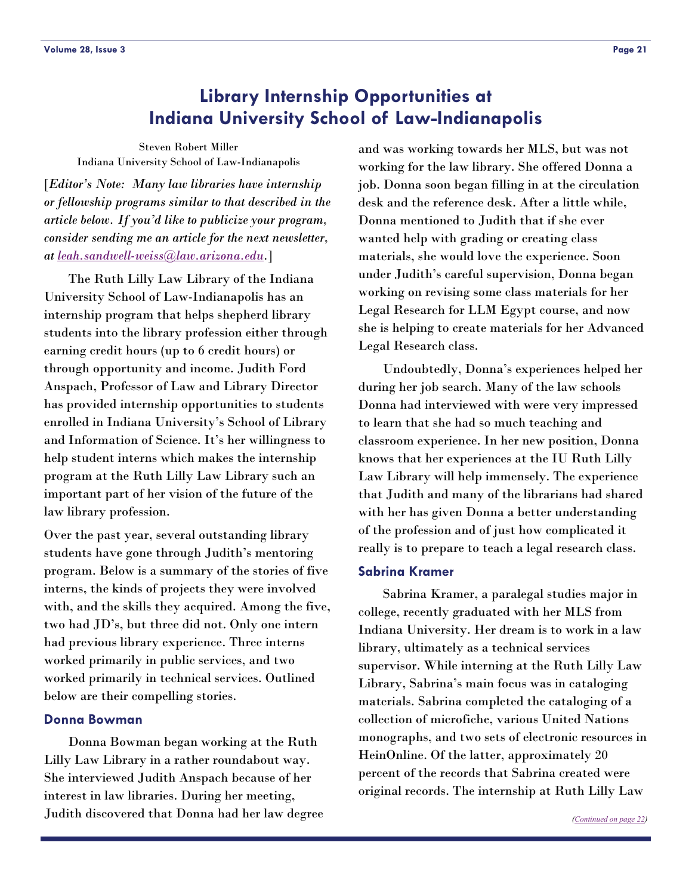### **Library Internship Opportunities at Indiana University School of Law-Indianapolis**

<span id="page-20-0"></span>Steven Robert Miller Indiana University School of Law-Indianapolis

[*Editor's Note: Many law libraries have internship or fellowship programs similar to that described in the article below. If you'd like to publicize your program, consider sending me an article for the next newsletter, at [leah.sandwell-weiss@law.arizona.edu](mailto:leah.sandwell-weiss@law.arizona.edu).*]

 The Ruth Lilly Law Library of the Indiana University School of Law-Indianapolis has an internship program that helps shepherd library students into the library profession either through earning credit hours (up to 6 credit hours) or through opportunity and income. Judith Ford Anspach, Professor of Law and Library Director has provided internship opportunities to students enrolled in Indiana University's School of Library and Information of Science. It's her willingness to help student interns which makes the internship program at the Ruth Lilly Law Library such an important part of her vision of the future of the law library profession.

Over the past year, several outstanding library students have gone through Judith's mentoring program. Below is a summary of the stories of five interns, the kinds of projects they were involved with, and the skills they acquired. Among the five, two had JD's, but three did not. Only one intern had previous library experience. Three interns worked primarily in public services, and two worked primarily in technical services. Outlined below are their compelling stories.

#### **Donna Bowman**

 Donna Bowman began working at the Ruth Lilly Law Library in a rather roundabout way. She interviewed Judith Anspach because of her interest in law libraries. During her meeting, Judith discovered that Donna had her law degree

and was working towards her MLS, but was not working for the law library. She offered Donna a job. Donna soon began filling in at the circulation desk and the reference desk. After a little while, Donna mentioned to Judith that if she ever wanted help with grading or creating class materials, she would love the experience. Soon under Judith's careful supervision, Donna began working on revising some class materials for her Legal Research for LLM Egypt course, and now she is helping to create materials for her Advanced Legal Research class.

 Undoubtedly, Donna's experiences helped her during her job search. Many of the law schools Donna had interviewed with were very impressed to learn that she had so much teaching and classroom experience. In her new position, Donna knows that her experiences at the IU Ruth Lilly Law Library will help immensely. The experience that Judith and many of the librarians had shared with her has given Donna a better understanding of the profession and of just how complicated it really is to prepare to teach a legal research class.

#### **Sabrina Kramer**

 Sabrina Kramer, a paralegal studies major in college, recently graduated with her MLS from Indiana University. Her dream is to work in a law library, ultimately as a technical services supervisor. While interning at the Ruth Lilly Law Library, Sabrina's main focus was in cataloging materials. Sabrina completed the cataloging of a collection of microfiche, various United Nations monographs, and two sets of electronic resources in HeinOnline. Of the latter, approximately 20 percent of the records that Sabrina created were original records. The internship at Ruth Lilly Law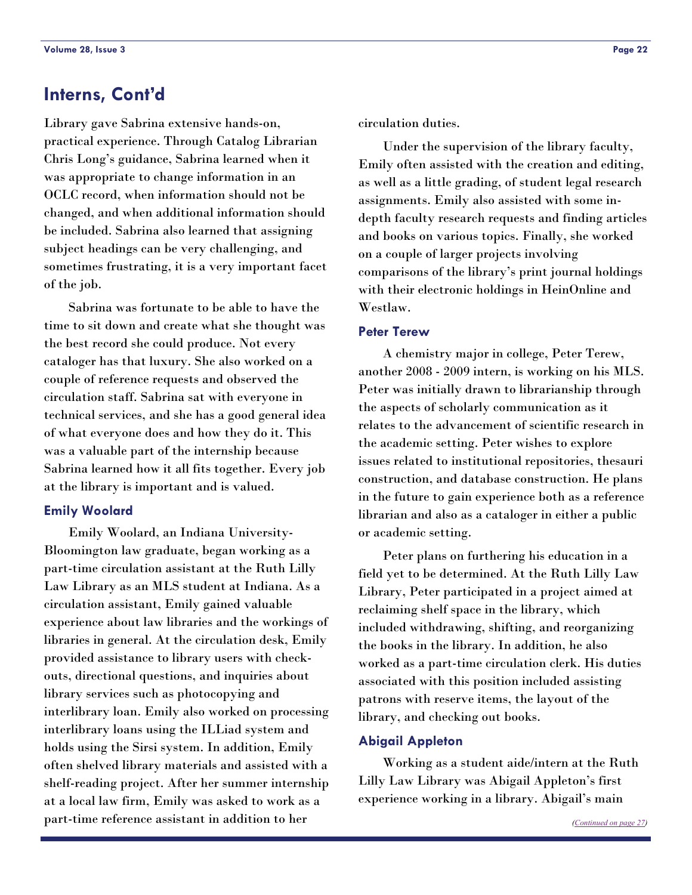### <span id="page-21-0"></span>**Interns, Cont'd**

Library gave Sabrina extensive hands-on, practical experience. Through Catalog Librarian Chris Long's guidance, Sabrina learned when it was appropriate to change information in an OCLC record, when information should not be changed, and when additional information should be included. Sabrina also learned that assigning subject headings can be very challenging, and sometimes frustrating, it is a very important facet of the job.

 Sabrina was fortunate to be able to have the time to sit down and create what she thought was the best record she could produce. Not every cataloger has that luxury. She also worked on a couple of reference requests and observed the circulation staff. Sabrina sat with everyone in technical services, and she has a good general idea of what everyone does and how they do it. This was a valuable part of the internship because Sabrina learned how it all fits together. Every job at the library is important and is valued.

#### **Emily Woolard**

 Emily Woolard, an Indiana University-Bloomington law graduate, began working as a part-time circulation assistant at the Ruth Lilly Law Library as an MLS student at Indiana. As a circulation assistant, Emily gained valuable experience about law libraries and the workings of libraries in general. At the circulation desk, Emily provided assistance to library users with checkouts, directional questions, and inquiries about library services such as photocopying and interlibrary loan. Emily also worked on processing interlibrary loans using the ILLiad system and holds using the Sirsi system. In addition, Emily often shelved library materials and assisted with a shelf-reading project. After her summer internship at a local law firm, Emily was asked to work as a part-time reference assistant in addition to her

circulation duties.

 Under the supervision of the library faculty, Emily often assisted with the creation and editing, as well as a little grading, of student legal research assignments. Emily also assisted with some indepth faculty research requests and finding articles and books on various topics. Finally, she worked on a couple of larger projects involving comparisons of the library's print journal holdings with their electronic holdings in HeinOnline and Westlaw.

#### **Peter Terew**

 A chemistry major in college, Peter Terew, another 2008 - 2009 intern, is working on his MLS. Peter was initially drawn to librarianship through the aspects of scholarly communication as it relates to the advancement of scientific research in the academic setting. Peter wishes to explore issues related to institutional repositories, thesauri construction, and database construction. He plans in the future to gain experience both as a reference librarian and also as a cataloger in either a public or academic setting.

 Peter plans on furthering his education in a field yet to be determined. At the Ruth Lilly Law Library, Peter participated in a project aimed at reclaiming shelf space in the library, which included withdrawing, shifting, and reorganizing the books in the library. In addition, he also worked as a part-time circulation clerk. His duties associated with this position included assisting patrons with reserve items, the layout of the library, and checking out books.

#### **Abigail Appleton**

 Working as a student aide/intern at the Ruth Lilly Law Library was Abigail Appleton's first experience working in a library. Abigail's main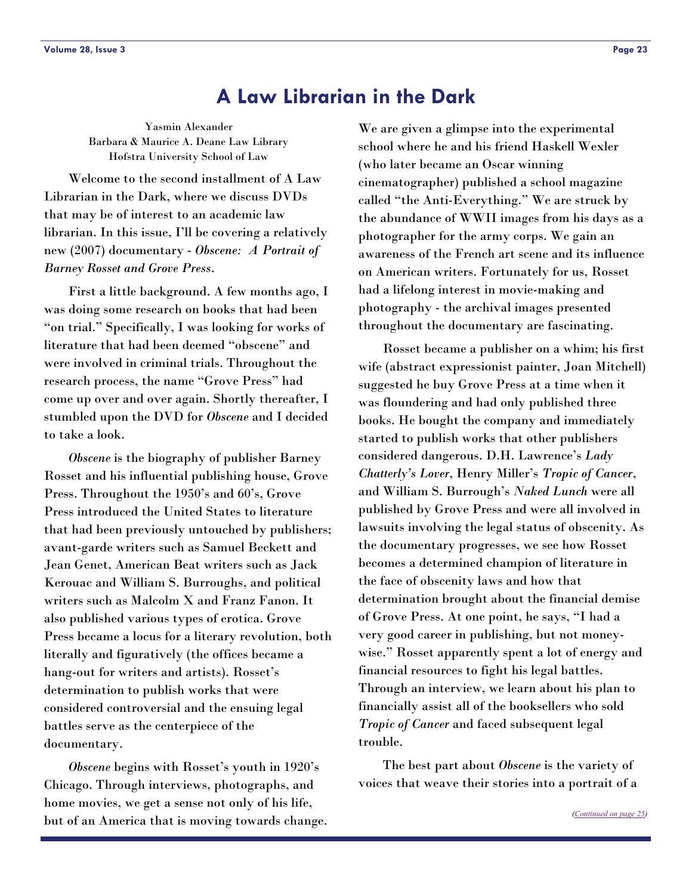### **A Law Librarian in the Dark**

<span id="page-22-0"></span>Yasmin Alexander Barbara & Maurice A. Deane Law Library Hofstra University School of Law

 Welcome to the second installment of A Law Librarian in the Dark, where we discuss DVDs that may be of interest to an academic law librarian. In this issue, I'll be covering a relatively new (2007) documentary - *Obscene: A Portrait of Barney Rosset and Grove Press*.

 First a little background. A few months ago, I was doing some research on books that had been "on trial." Specifically, I was looking for works of literature that had been deemed "obscene" and were involved in criminal trials. Throughout the research process, the name "Grove Press" had come up over and over again. Shortly thereafter, I stumbled upon the DVD for *Obscene* and I decided to take a look.

*Obscene* is the biography of publisher Barney Rosset and his influential publishing house, Grove Press. Throughout the 1950's and 60's, Grove Press introduced the United States to literature that had been previously untouched by publishers; avant-garde writers such as Samuel Beckett and Jean Genet, American Beat writers such as Jack Kerouac and William S. Burroughs, and political writers such as Malcolm X and Franz Fanon. It also published various types of erotica. Grove Press became a locus for a literary revolution, both literally and figuratively (the offices became a hang-out for writers and artists). Rosset's determination to publish works that were considered controversial and the ensuing legal battles serve as the centerpiece of the documentary.

*Obscene* begins with Rosset's youth in 1920's Chicago. Through interviews, photographs, and home movies, we get a sense not only of his life, but of an America that is moving towards change.

We are given a glimpse into the experimental school where he and his friend Haskell Wexler (who later became an Oscar winning cinematographer) published a school magazine called "the Anti-Everything." We are struck by the abundance of WWII images from his days as a photographer for the army corps. We gain an awareness of the French art scene and its influence on American writers. Fortunately for us, Rosset had a lifelong interest in movie-making and photography - the archival images presented throughout the documentary are fascinating.

 Rosset became a publisher on a whim; his first wife (abstract expressionist painter, Joan Mitchell) suggested he buy Grove Press at a time when it was floundering and had only published three books. He bought the company and immediately started to publish works that other publishers considered dangerous. D.H. Lawrence's *Lady Chatterly's Lover*, Henry Miller's *Tropic of Cancer*, and William S. Burrough's *Naked Lunch* were all published by Grove Press and were all involved in lawsuits involving the legal status of obscenity. As the documentary progresses, we see how Rosset becomes a determined champion of literature in the face of obscenity laws and how that determination brought about the financial demise of Grove Press. At one point, he says, "I had a very good career in publishing, but not moneywise." Rosset apparently spent a lot of energy and financial resources to fight his legal battles. Through an interview, we learn about his plan to financially assist all of the booksellers who sold *Tropic of Cancer* and faced subsequent legal trouble.

 The best part about *Obscene* is the variety of voices that weave their stories into a portrait of a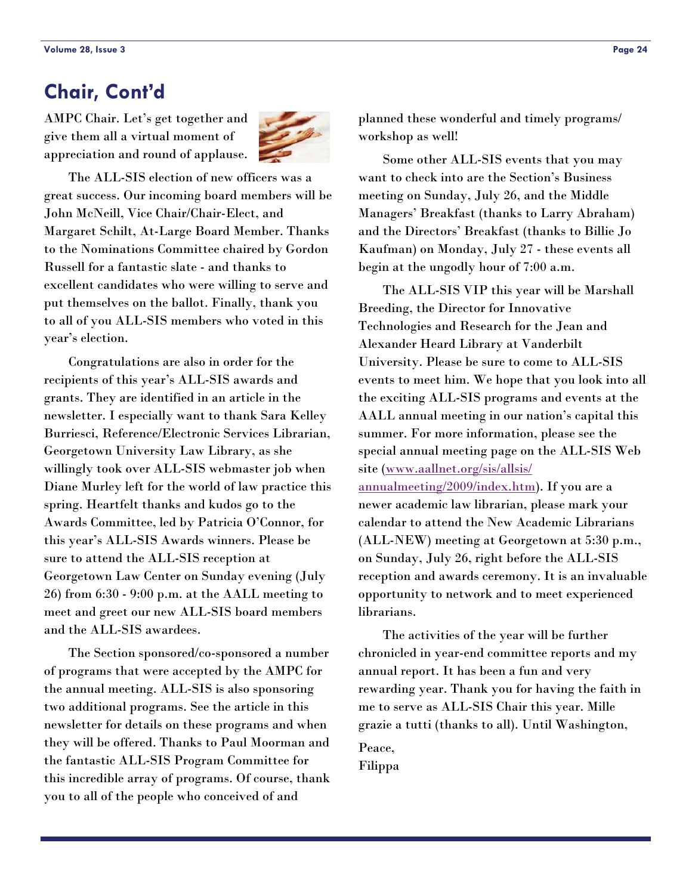### <span id="page-23-0"></span>**Chair, Cont'd**

AMPC Chair. Let's get together and give them all a virtual moment of appreciation and round of applause.



 The ALL-SIS election of new officers was a great success. Our incoming board members will be John McNeill, Vice Chair/Chair-Elect, and Margaret Schilt, At-Large Board Member. Thanks to the Nominations Committee chaired by Gordon Russell for a fantastic slate - and thanks to excellent candidates who were willing to serve and put themselves on the ballot. Finally, thank you to all of you ALL-SIS members who voted in this year's election.

 Congratulations are also in order for the recipients of this year's ALL-SIS awards and grants. They are identified in an article in the newsletter. I especially want to thank Sara Kelley Burriesci, Reference/Electronic Services Librarian, Georgetown University Law Library, as she willingly took over ALL-SIS webmaster job when Diane Murley left for the world of law practice this spring. Heartfelt thanks and kudos go to the Awards Committee, led by Patricia O'Connor, for this year's ALL-SIS Awards winners. Please be sure to attend the ALL-SIS reception at Georgetown Law Center on Sunday evening (July 26) from 6:30 - 9:00 p.m. at the AALL meeting to meet and greet our new ALL-SIS board members and the ALL-SIS awardees.

 The Section sponsored/co-sponsored a number of programs that were accepted by the AMPC for the annual meeting. ALL-SIS is also sponsoring two additional programs. See the article in this newsletter for details on these programs and when they will be offered. Thanks to Paul Moorman and the fantastic ALL-SIS Program Committee for this incredible array of programs. Of course, thank you to all of the people who conceived of and

planned these wonderful and timely programs/ workshop as well!

 Some other ALL-SIS events that you may want to check into are the Section's Business meeting on Sunday, July 26, and the Middle Managers' Breakfast (thanks to Larry Abraham) and the Directors' Breakfast (thanks to Billie Jo Kaufman) on Monday, July 27 - these events all begin at the ungodly hour of 7:00 a.m.

 The ALL-SIS VIP this year will be Marshall Breeding, the Director for Innovative Technologies and Research for the Jean and Alexander Heard Library at Vanderbilt University. Please be sure to come to ALL-SIS events to meet him. We hope that you look into all the exciting ALL-SIS programs and events at the AALL annual meeting in our nation's capital this summer. For more information, please see the special annual meeting page on the ALL-SIS Web site ([www.aallnet.org/sis/allsis/](http://www.aallnet.org/sis/allsis/annualmeeting/2009/index.htm) [annualmeeting/2009/index.htm](http://www.aallnet.org/sis/allsis/annualmeeting/2009/index.htm)). If you are a newer academic law librarian, please mark your calendar to attend the New Academic Librarians (ALL-NEW) meeting at Georgetown at 5:30 p.m., on Sunday, July 26, right before the ALL-SIS reception and awards ceremony. It is an invaluable opportunity to network and to meet experienced librarians.

 The activities of the year will be further chronicled in year-end committee reports and my annual report. It has been a fun and very rewarding year. Thank you for having the faith in me to serve as ALL-SIS Chair this year. Mille grazie a tutti (thanks to all). Until Washington,

Peace, Filippa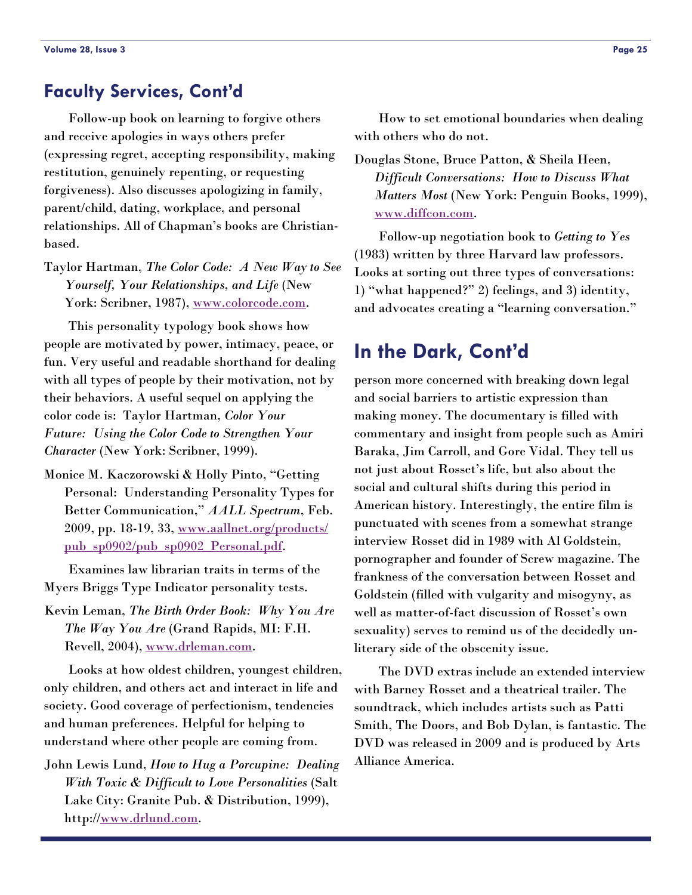### <span id="page-24-0"></span>**Faculty Services, Cont'd**

 Follow-up book on learning to forgive others and receive apologies in ways others prefer (expressing regret, accepting responsibility, making restitution, genuinely repenting, or requesting forgiveness). Also discusses apologizing in family, parent/child, dating, workplace, and personal relationships. All of Chapman's books are Christianbased.

Taylor Hartman, *The Color Code: A New Way to See Yourself, Your Relationships, and Life* (New York: Scribner, 1987), [www.colorcode.com.](http://www.colorcode.com)

 This personality typology book shows how people are motivated by power, intimacy, peace, or fun. Very useful and readable shorthand for dealing with all types of people by their motivation, not by their behaviors. A useful sequel on applying the color code is: Taylor Hartman, *Color Your Future: Using the Color Code to Strengthen Your Character* (New York: Scribner, 1999).

Monice M. Kaczorowski & Holly Pinto, "Getting Personal: Understanding Personality Types for Better Communication," *AALL Spectrum*, Feb. 2009, pp. 18-19, 33, [www.aallnet.org/products/](http://www.aallnet.org/products/pub_sp0902/pub_sp0902_Personal.pdf) [pub\\_sp0902/pub\\_sp0902\\_Personal.pdf](http://www.aallnet.org/products/pub_sp0902/pub_sp0902_Personal.pdf).

 Examines law librarian traits in terms of the Myers Briggs Type Indicator personality tests.

Kevin Leman, *The Birth Order Book: Why You Are The Way You Are* (Grand Rapids, MI: F.H. Revell, 2004), [www.drleman.com](http://www.drleman.com).

 Looks at how oldest children, youngest children, only children, and others act and interact in life and society. Good coverage of perfectionism, tendencies and human preferences. Helpful for helping to understand where other people are coming from.

John Lewis Lund, *How to Hug a Porcupine: Dealing With Toxic & Difficult to Love Personalities* (Salt Lake City: Granite Pub. & Distribution, 1999), http:/[/www.drlund.com](http://www.drlund.com).

 How to set emotional boundaries when dealing with others who do not.

Douglas Stone, Bruce Patton, & Sheila Heen, *Difficult Conversations: How to Discuss What Matters Most* (New York: Penguin Books, 1999), [www.diffcon.com.](http://www.diffcon.com)

 Follow-up negotiation book to *Getting to Yes* (1983) written by three Harvard law professors. Looks at sorting out three types of conversations: 1) "what happened?" 2) feelings, and 3) identity, and advocates creating a "learning conversation."

### **In the Dark, Cont'd**

person more concerned with breaking down legal and social barriers to artistic expression than making money. The documentary is filled with commentary and insight from people such as Amiri Baraka, Jim Carroll, and Gore Vidal. They tell us not just about Rosset's life, but also about the social and cultural shifts during this period in American history. Interestingly, the entire film is punctuated with scenes from a somewhat strange interview Rosset did in 1989 with Al Goldstein, pornographer and founder of Screw magazine. The frankness of the conversation between Rosset and Goldstein (filled with vulgarity and misogyny, as well as matter-of-fact discussion of Rosset's own sexuality) serves to remind us of the decidedly unliterary side of the obscenity issue.

 The DVD extras include an extended interview with Barney Rosset and a theatrical trailer. The soundtrack, which includes artists such as Patti Smith, The Doors, and Bob Dylan, is fantastic. The DVD was released in 2009 and is produced by Arts Alliance America.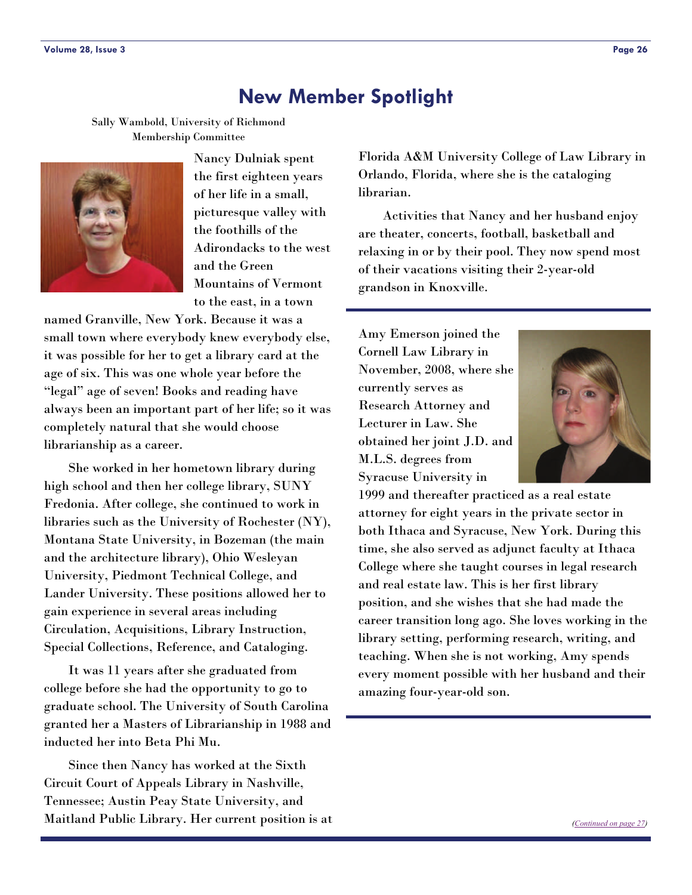### **New Member Spotlight**

Sally Wambold, University of Richmond Membership Committee



Nancy Dulniak spent the first eighteen years of her life in a small, picturesque valley with the foothills of the Adirondacks to the west and the Green Mountains of Vermont to the east, in a town

named Granville, New York. Because it was a small town where everybody knew everybody else, it was possible for her to get a library card at the age of six. This was one whole year before the "legal" age of seven! Books and reading have always been an important part of her life; so it was completely natural that she would choose librarianship as a career.

 She worked in her hometown library during high school and then her college library, SUNY Fredonia. After college, she continued to work in libraries such as the University of Rochester (NY), Montana State University, in Bozeman (the main and the architecture library), Ohio Wesleyan University, Piedmont Technical College, and Lander University. These positions allowed her to gain experience in several areas including Circulation, Acquisitions, Library Instruction, Special Collections, Reference, and Cataloging.

 It was 11 years after she graduated from college before she had the opportunity to go to graduate school. The University of South Carolina granted her a Masters of Librarianship in 1988 and inducted her into Beta Phi Mu.

 Since then Nancy has worked at the Sixth Circuit Court of Appeals Library in Nashville, Tennessee; Austin Peay State University, and Maitland Public Library. Her current position is at

Florida A&M University College of Law Library in Orlando, Florida, where she is the cataloging librarian.

 Activities that Nancy and her husband enjoy are theater, concerts, football, basketball and relaxing in or by their pool. They now spend most of their vacations visiting their 2-year-old grandson in Knoxville.

Amy Emerson joined the Cornell Law Library in November, 2008, where she currently serves as Research Attorney and Lecturer in Law. She obtained her joint J.D. and M.L.S. degrees from Syracuse University in



1999 and thereafter practiced as a real estate attorney for eight years in the private sector in both Ithaca and Syracuse, New York. During this time, she also served as adjunct faculty at Ithaca College where she taught courses in legal research and real estate law. This is her first library position, and she wishes that she had made the career transition long ago. She loves working in the library setting, performing research, writing, and teaching. When she is not working, Amy spends every moment possible with her husband and their amazing four-year-old son.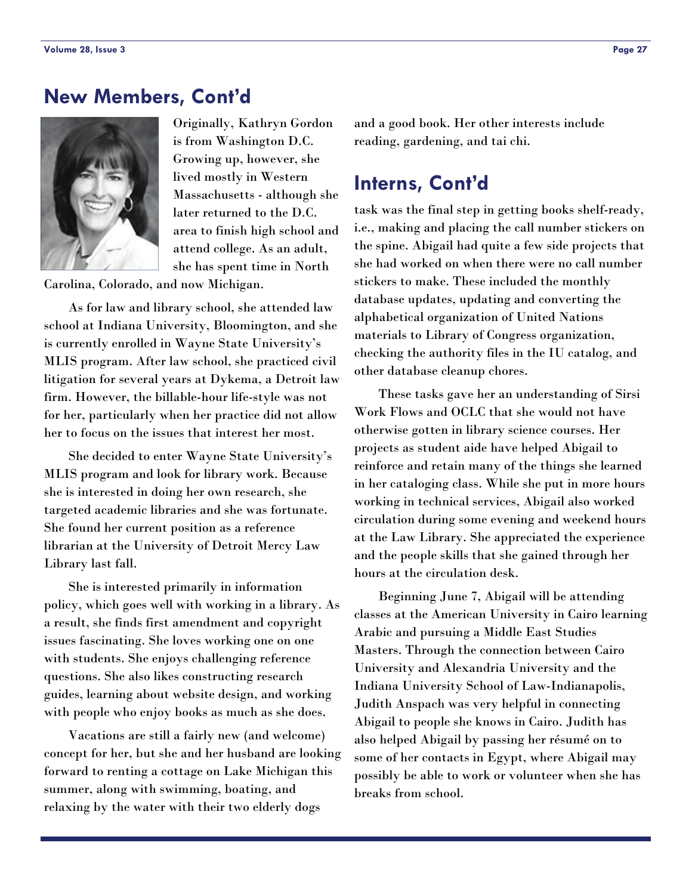### <span id="page-26-0"></span>**New Members, Cont'd**



Originally, Kathryn Gordon is from Washington D.C. Growing up, however, she lived mostly in Western Massachusetts - although she later returned to the D.C. area to finish high school and attend college. As an adult, she has spent time in North

Carolina, Colorado, and now Michigan.

 As for law and library school, she attended law school at Indiana University, Bloomington, and she is currently enrolled in Wayne State University's MLIS program. After law school, she practiced civil litigation for several years at Dykema, a Detroit law firm. However, the billable-hour life-style was not for her, particularly when her practice did not allow her to focus on the issues that interest her most.

 She decided to enter Wayne State University's MLIS program and look for library work. Because she is interested in doing her own research, she targeted academic libraries and she was fortunate. She found her current position as a reference librarian at the University of Detroit Mercy Law Library last fall.

 She is interested primarily in information policy, which goes well with working in a library. As a result, she finds first amendment and copyright issues fascinating. She loves working one on one with students. She enjoys challenging reference questions. She also likes constructing research guides, learning about website design, and working with people who enjoy books as much as she does.

 Vacations are still a fairly new (and welcome) concept for her, but she and her husband are looking forward to renting a cottage on Lake Michigan this summer, along with swimming, boating, and relaxing by the water with their two elderly dogs

and a good book. Her other interests include reading, gardening, and tai chi.

### **Interns, Cont'd**

task was the final step in getting books shelf-ready, i.e., making and placing the call number stickers on the spine. Abigail had quite a few side projects that she had worked on when there were no call number stickers to make. These included the monthly database updates, updating and converting the alphabetical organization of United Nations materials to Library of Congress organization, checking the authority files in the IU catalog, and other database cleanup chores.

 These tasks gave her an understanding of Sirsi Work Flows and OCLC that she would not have otherwise gotten in library science courses. Her projects as student aide have helped Abigail to reinforce and retain many of the things she learned in her cataloging class. While she put in more hours working in technical services, Abigail also worked circulation during some evening and weekend hours at the Law Library. She appreciated the experience and the people skills that she gained through her hours at the circulation desk.

 Beginning June 7, Abigail will be attending classes at the American University in Cairo learning Arabic and pursuing a Middle East Studies Masters. Through the connection between Cairo University and Alexandria University and the Indiana University School of Law-Indianapolis, Judith Anspach was very helpful in connecting Abigail to people she knows in Cairo. Judith has also helped Abigail by passing her résumé on to some of her contacts in Egypt, where Abigail may possibly be able to work or volunteer when she has breaks from school.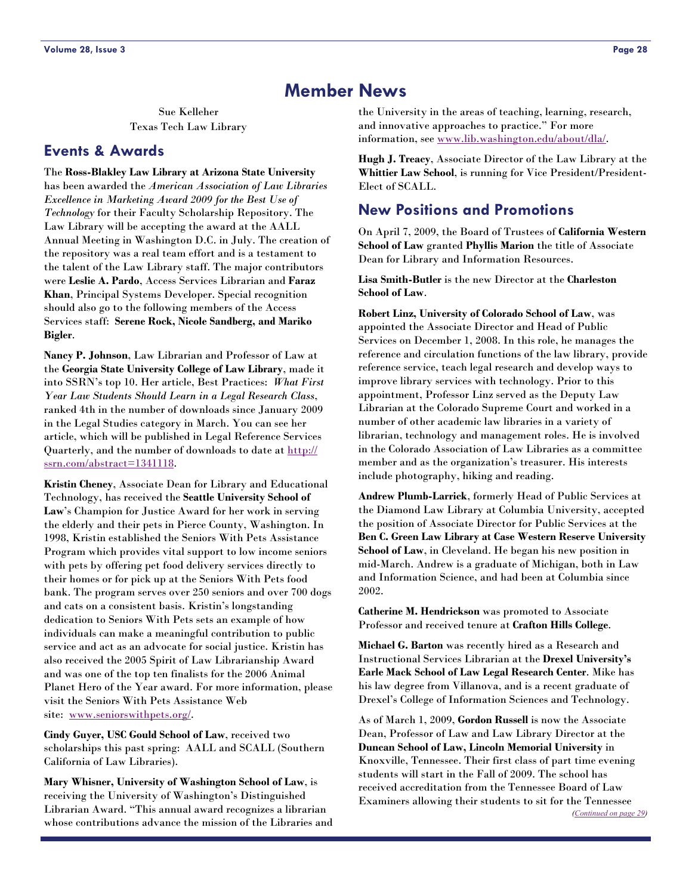### **Member News**

Sue Kelleher Texas Tech Law Library

#### <span id="page-27-0"></span>**Events & Awards**

The **Ross-Blakley Law Library at Arizona State University** has been awarded the *American Association of Law Libraries Excellence in Marketing Award 2009 for the Best Use of Technology* for their Faculty Scholarship Repository. The Law Library will be accepting the award at the AALL Annual Meeting in Washington D.C. in July. The creation of the repository was a real team effort and is a testament to the talent of the Law Library staff. The major contributors were **Leslie A. Pardo**, Access Services Librarian and **Faraz Khan**, Principal Systems Developer. Special recognition should also go to the following members of the Access Services staff: **Serene Rock, Nicole Sandberg, and Mariko Bigler**.

**Nancy P. Johnson**, Law Librarian and Professor of Law at the **Georgia State University College of Law Library**, made it into SSRN's top 10. Her article, Best Practices: *What First Year Law Students Should Learn in a Legal Research Class*, ranked 4th in the number of downloads since January 2009 in the Legal Studies category in March. You can see her article, which will be published in Legal Reference Services Quarterly, and the number of downloads to date at [http://](http://ssrn.com/abstract=1341118) [ssrn.com/abstract=1341118](http://ssrn.com/abstract=1341118).

**Kristin Cheney**, Associate Dean for Library and Educational Technology, has received the **Seattle University School of Law**'s Champion for Justice Award for her work in serving the elderly and their pets in Pierce County, Washington. In 1998, Kristin established the Seniors With Pets Assistance Program which provides vital support to low income seniors with pets by offering pet food delivery services directly to their homes or for pick up at the Seniors With Pets food bank. The program serves over 250 seniors and over 700 dogs and cats on a consistent basis. Kristin's longstanding dedication to Seniors With Pets sets an example of how individuals can make a meaningful contribution to public service and act as an advocate for social justice. Kristin has also received the 2005 Spirit of Law Librarianship Award and was one of the top ten finalists for the 2006 Animal Planet Hero of the Year award. For more information, please visit the Seniors With Pets Assistance Web site: [www.seniorswithpets.org/](http://www.seniorswithpets.org/).

**Cindy Guyer, USC Gould School of Law**, received two scholarships this past spring: AALL and SCALL (Southern California of Law Libraries).

**Mary Whisner, University of Washington School of Law**, is receiving the University of Washington's Distinguished Librarian Award. "This annual award recognizes a librarian whose contributions advance the mission of the Libraries and

the University in the areas of teaching, learning, research, and innovative approaches to practice." For more information, see [www.lib.washington.edu/about/dla/.](http://www.lib.washington.edu/about/dla/)

**Hugh J. Treacy**, Associate Director of the Law Library at the **Whittier Law School**, is running for Vice President/President-Elect of SCALL.

#### **New Positions and Promotions**

On April 7, 2009, the Board of Trustees of **California Western School of Law** granted **Phyllis Marion** the title of Associate Dean for Library and Information Resources.

**Lisa Smith-Butler** is the new Director at the **Charleston School of Law**.

**Robert Linz, University of Colorado School of Law**, was appointed the Associate Director and Head of Public Services on December 1, 2008. In this role, he manages the reference and circulation functions of the law library, provide reference service, teach legal research and develop ways to improve library services with technology. Prior to this appointment, Professor Linz served as the Deputy Law Librarian at the Colorado Supreme Court and worked in a number of other academic law libraries in a variety of librarian, technology and management roles. He is involved in the Colorado Association of Law Libraries as a committee member and as the organization's treasurer. His interests include photography, hiking and reading.

**Andrew Plumb-Larrick**, formerly Head of Public Services at the Diamond Law Library at Columbia University, accepted the position of Associate Director for Public Services at the **Ben C. Green Law Library at Case Western Reserve University School of Law**, in Cleveland. He began his new position in mid-March. Andrew is a graduate of Michigan, both in Law and Information Science, and had been at Columbia since 2002.

**Catherine M. Hendrickson** was promoted to Associate Professor and received tenure at **Crafton Hills College**.

**Michael G. Barton** was recently hired as a Research and Instructional Services Librarian at the **Drexel University's Earle Mack School of Law Legal Research Center**. Mike has his law degree from Villanova, and is a recent graduate of Drexel's College of Information Sciences and Technology.

As of March 1, 2009, **Gordon Russell** is now the Associate Dean, Professor of Law and Law Library Director at the **Duncan School of Law, Lincoln Memorial University** in Knoxville, Tennessee. Their first class of part time evening students will start in the Fall of 2009. The school has received accreditation from the Tennessee Board of Law Examiners allowing their students to sit for the Tennessee

*([Continued on page 29\)](#page-28-0)*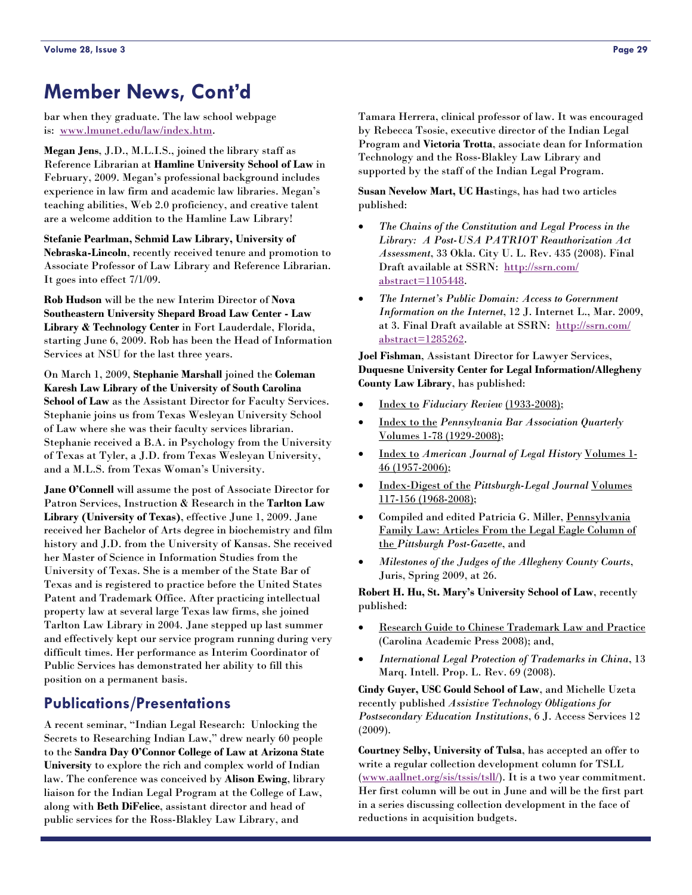### <span id="page-28-0"></span>**Member News, Cont'd**

bar when they graduate. The law school webpage is: [www.lmunet.edu/law/index.htm.](http://www.lmunet.edu/law/index.htm)

**Megan Jens**, J.D., M.L.I.S., joined the library staff as Reference Librarian at **Hamline University School of Law** in February, 2009. Megan's professional background includes experience in law firm and academic law libraries. Megan's teaching abilities, Web 2.0 proficiency, and creative talent are a welcome addition to the Hamline Law Library!

**Stefanie Pearlman, Schmid Law Library, University of Nebraska-Lincoln**, recently received tenure and promotion to Associate Professor of Law Library and Reference Librarian. It goes into effect 7/1/09.

**Rob Hudson** will be the new Interim Director of **Nova Southeastern University Shepard Broad Law Center - Law Library & Technology Center** in Fort Lauderdale, Florida, starting June 6, 2009. Rob has been the Head of Information Services at NSU for the last three years.

On March 1, 2009, **Stephanie Marshall** joined the **Coleman Karesh Law Library of the University of South Carolina School of Law** as the Assistant Director for Faculty Services. Stephanie joins us from Texas Wesleyan University School of Law where she was their faculty services librarian. Stephanie received a B.A. in Psychology from the University of Texas at Tyler, a J.D. from Texas Wesleyan University, and a M.L.S. from Texas Woman's University.

**Jane O'Connell** will assume the post of Associate Director for Patron Services, Instruction & Research in the **Tarlton Law Library (University of Texas)**, effective June 1, 2009. Jane received her Bachelor of Arts degree in biochemistry and film history and J.D. from the University of Kansas. She received her Master of Science in Information Studies from the University of Texas. She is a member of the State Bar of Texas and is registered to practice before the United States Patent and Trademark Office. After practicing intellectual property law at several large Texas law firms, she joined Tarlton Law Library in 2004. Jane stepped up last summer and effectively kept our service program running during very difficult times. Her performance as Interim Coordinator of Public Services has demonstrated her ability to fill this position on a permanent basis.

### **Publications/Presentations**

A recent seminar, "Indian Legal Research: Unlocking the Secrets to Researching Indian Law," drew nearly 60 people to the **Sandra Day O'Connor College of Law at Arizona State University** to explore the rich and complex world of Indian law. The conference was conceived by **Alison Ewing**, library liaison for the Indian Legal Program at the College of Law, along with **Beth DiFelice**, assistant director and head of public services for the Ross-Blakley Law Library, and

Tamara Herrera, clinical professor of law. It was encouraged by Rebecca Tsosie, executive director of the Indian Legal Program and **Victoria Trotta**, associate dean for Information Technology and the Ross-Blakley Law Library and supported by the staff of the Indian Legal Program.

**Susan Nevelow Mart, UC Ha**stings, has had two articles published:

- *The Chains of the Constitution and Legal Process in the Library: A Post-USA PATRIOT Reauthorization Act Assessment*, 33 Okla. City U. L. Rev. 435 (2008). Final Draft available at SSRN: [http://ssrn.com/](http://ssrn.com/abstract=1105448) [abstract=1105448](http://ssrn.com/abstract=1105448).
- *The Internet's Public Domain: Access to Government Information on the Internet*, 12 J. Internet L., Mar. 2009, at 3. Final Draft available at SSRN: [http://ssrn.com/](http://ssrn.com/abstract=1285262) [abstract=1285262](http://ssrn.com/abstract=1285262).

**Joel Fishman**, Assistant Director for Lawyer Services, **Duquesne University Center for Legal Information/Allegheny County Law Library**, has published:

- Index to *Fiduciary Review* (1933-2008);
- Index to the *Pennsylvania Bar Association Quarterly* Volumes 1-78 (1929-2008);
- Index to *American Journal of Legal History* Volumes 1- 46 (1957-2006);
- Index-Digest of the *Pittsburgh-Legal Journal* Volumes 117-156 (1968-2008);
- Compiled and edited Patricia G. Miller, Pennsylvania Family Law: Articles From the Legal Eagle Column of the *Pittsburgh Post-Gazette*, and
- *Milestones of the Judges of the Allegheny County Courts*, Juris, Spring 2009, at 26.

**Robert H. Hu, St. Mary's University School of Law**, recently published:

- Research Guide to Chinese Trademark Law and Practice (Carolina Academic Press 2008); and,
- *International Legal Protection of Trademarks in China*, 13 Marq. Intell. Prop. L. Rev. 69 (2008).

**Cindy Guyer, USC Gould School of Law**, and Michelle Uzeta recently published *Assistive Technology Obligations for Postsecondary Education Institutions*, 6 J. Access Services 12 (2009).

**Courtney Selby, University of Tulsa**, has accepted an offer to write a regular collection development column for TSLL ([www.aallnet.org/sis/tssis/tsll/\)](http://www.aallnet.org/sis/tssis/tsll/). It is a two year commitment. Her first column will be out in June and will be the first part in a series discussing collection development in the face of reductions in acquisition budgets.